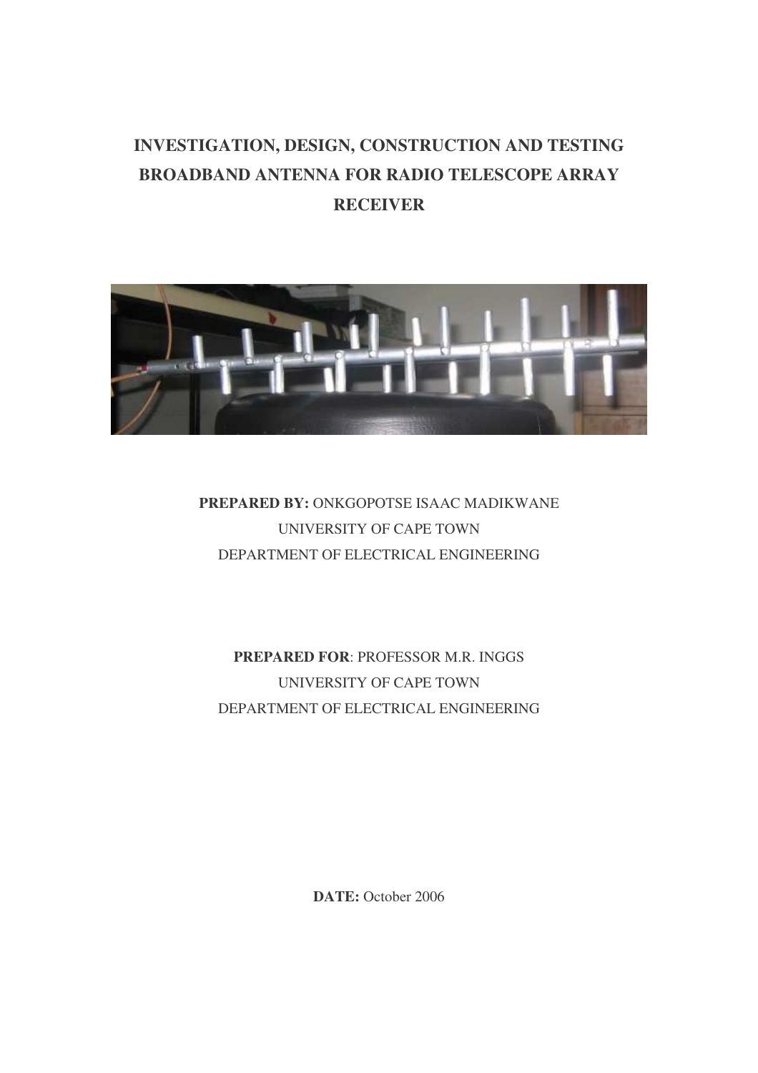# **INVESTIGATION, DESIGN, CONSTRUCTION AND TESTING BROADBAND ANTENNA FOR RADIO TELESCOPE ARRAY RECEIVER**



# **PREPARED BY:** ONKGOPOTSE ISAAC MADIKWANE UNIVERSITY OF CAPE TOWN DEPARTMENT OF ELECTRICAL ENGINEERING

**PREPARED FOR**: PROFESSOR M.R. INGGS UNIVERSITY OF CAPE TOWN DEPARTMENT OF ELECTRICAL ENGINEERING

**DATE:** October 2006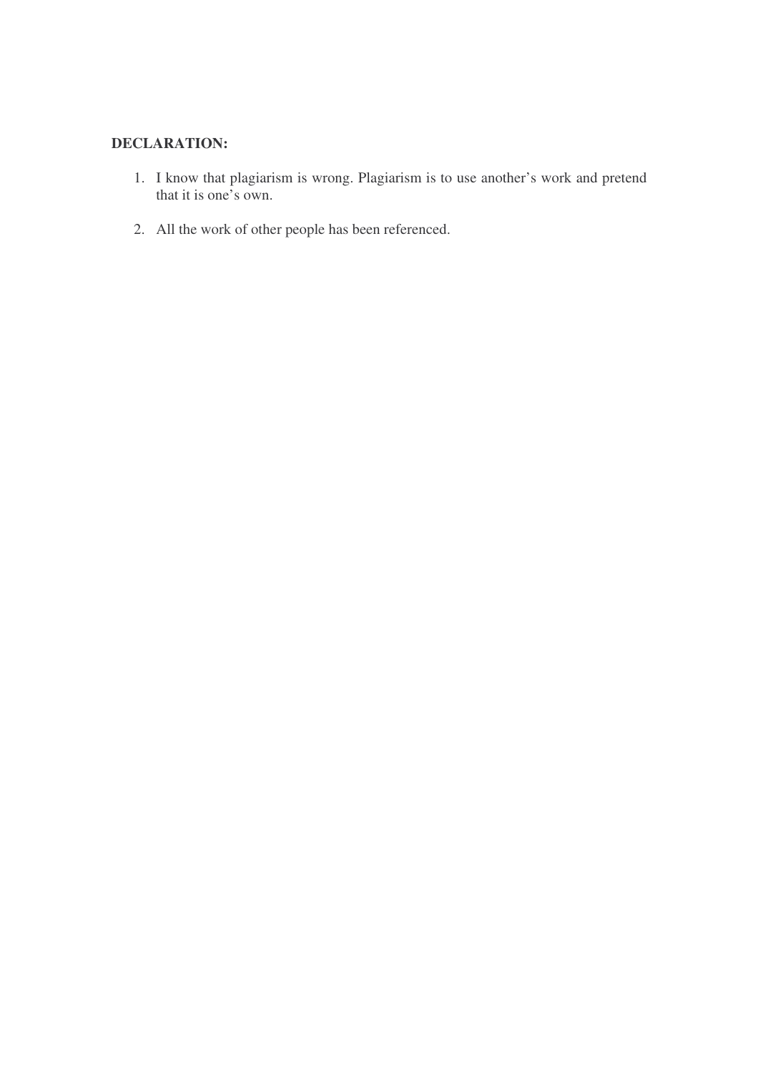# **DECLARATION:**

- 1. I know that plagiarism is wrong. Plagiarism is to use another's work and pretend that it is one's own.
- 2. All the work of other people has been referenced.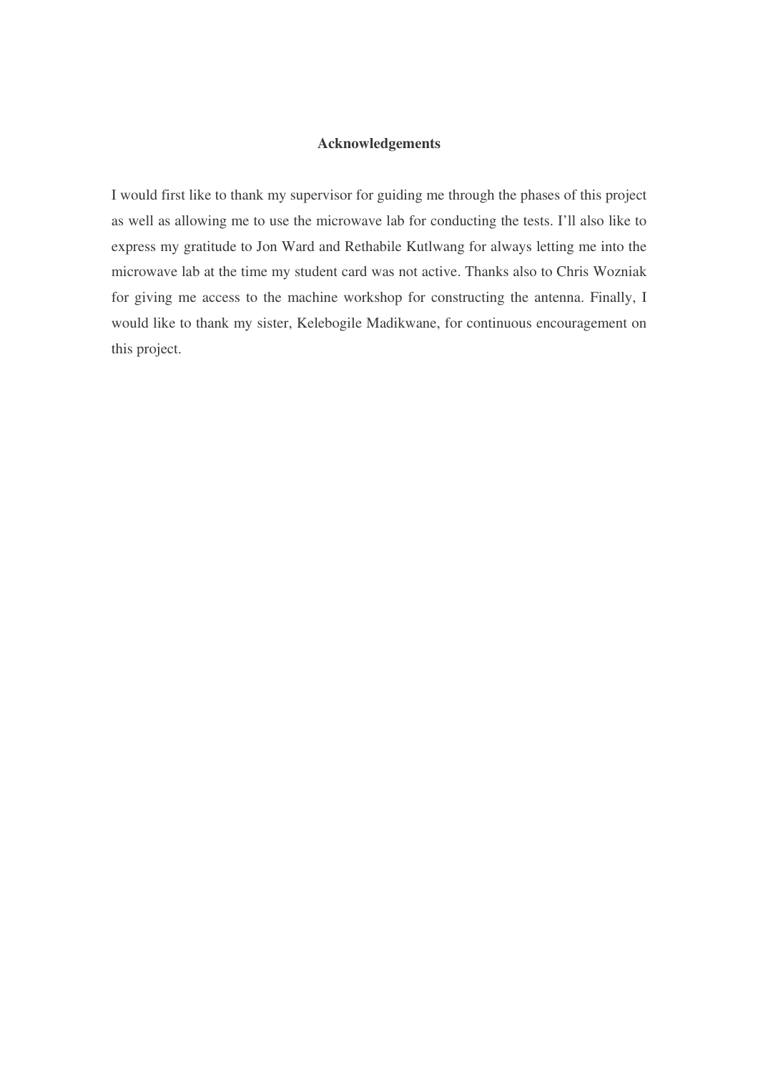# **Acknowledgements**

I would first like to thank my supervisor for guiding me through the phases of this project as well as allowing me to use the microwave lab for conducting the tests. I'll also like to express my gratitude to Jon Ward and Rethabile Kutlwang for always letting me into the microwave lab at the time my student card was not active. Thanks also to Chris Wozniak for giving me access to the machine workshop for constructing the antenna. Finally, I would like to thank my sister, Kelebogile Madikwane, for continuous encouragement on this project.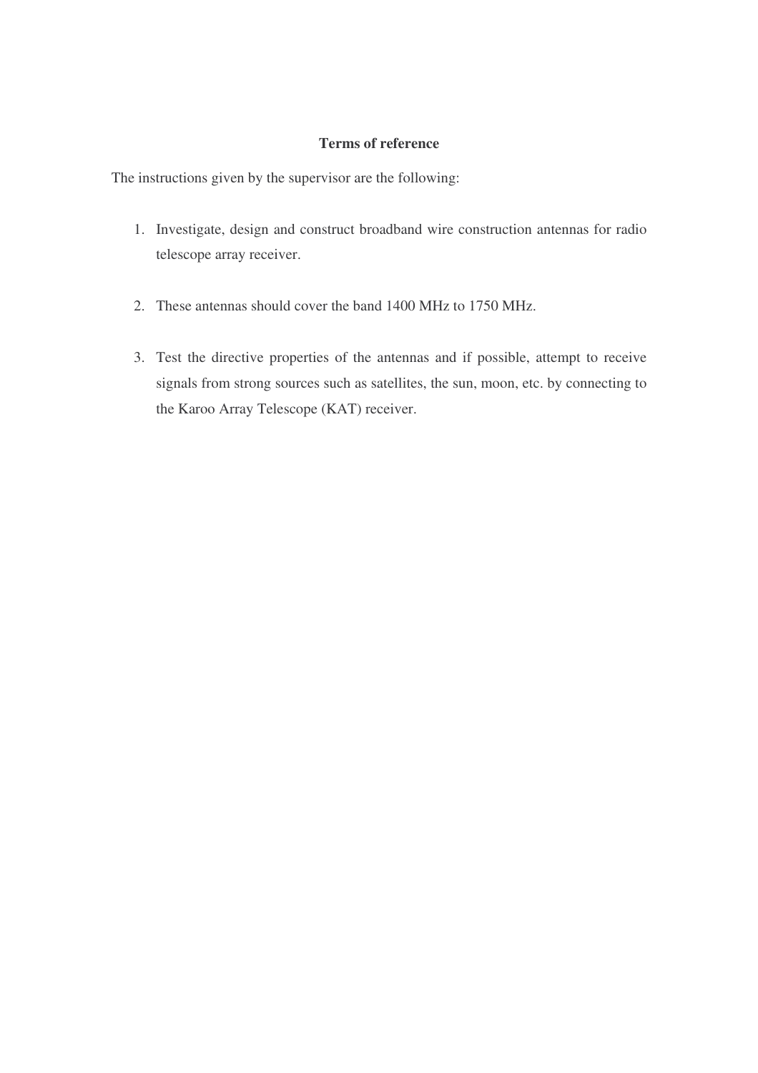# **Terms of reference**

The instructions given by the supervisor are the following:

- 1. Investigate, design and construct broadband wire construction antennas for radio telescope array receiver.
- 2. These antennas should cover the band 1400 MHz to 1750 MHz.
- 3. Test the directive properties of the antennas and if possible, attempt to receive signals from strong sources such as satellites, the sun, moon, etc. by connecting to the Karoo Array Telescope (KAT) receiver.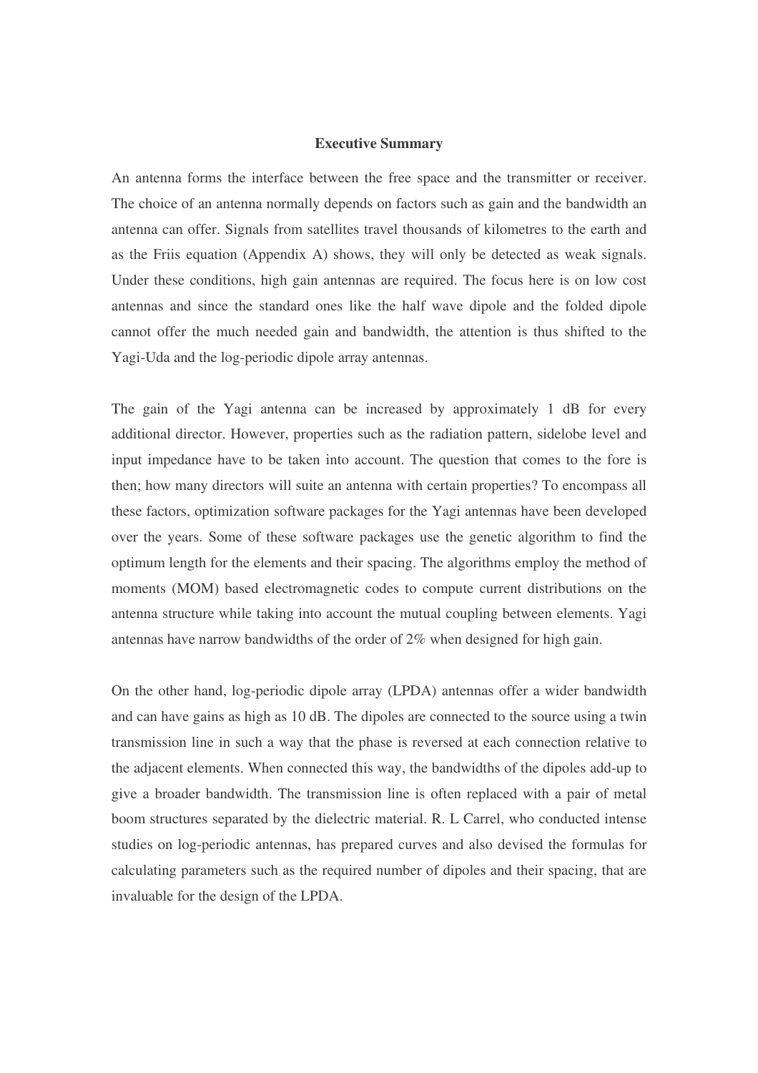#### **Executive Summary**

An antenna forms the interface between the free space and the transmitter or receiver. The choice of an antenna normally depends on factors such as gain and the bandwidth an antenna can offer. Signals from satellites travel thousands of kilometres to the earth and as the Friis equation (Appendix A) shows, they will only be detected as weak signals. Under these conditions, high gain antennas are required. The focus here is on low cost antennas and since the standard ones like the half wave dipole and the folded dipole cannot offer the much needed gain and bandwidth, the attention is thus shifted to the Yagi-Uda and the log-periodic dipole array antennas.

The gain of the Yagi antenna can be increased by approximately 1 dB for every additional director. However, properties such as the radiation pattern, sidelobe level and input impedance have to be taken into account. The question that comes to the fore is then; how many directors will suite an antenna with certain properties? To encompass all these factors, optimization software packages for the Yagi antennas have been developed over the years. Some of these software packages use the genetic algorithm to find the optimum length for the elements and their spacing. The algorithms employ the method of moments (MOM) based electromagnetic codes to compute current distributions on the antenna structure while taking into account the mutual coupling between elements. Yagi antennas have narrow bandwidths of the order of 2% when designed for high gain.

On the other hand, log-periodic dipole array (LPDA) antennas offer a wider bandwidth and can have gains as high as 10 dB. The dipoles are connected to the source using a twin transmission line in such a way that the phase is reversed at each connection relative to the adjacent elements. When connected this way, the bandwidths of the dipoles add-up to give a broader bandwidth. The transmission line is often replaced with a pair of metal boom structures separated by the dielectric material. R. L Carrel, who conducted intense studies on log-periodic antennas, has prepared curves and also devised the formulas for calculating parameters such as the required number of dipoles and their spacing, that are invaluable for the design of the LPDA.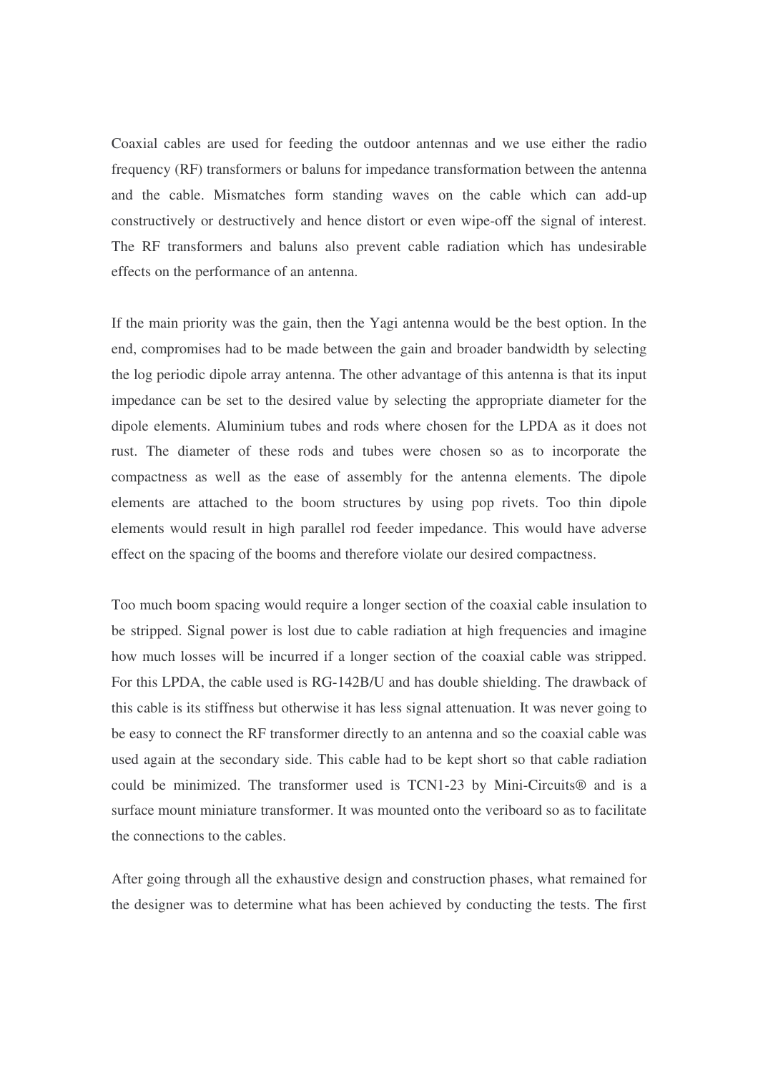Coaxial cables are used for feeding the outdoor antennas and we use either the radio frequency (RF) transformers or baluns for impedance transformation between the antenna and the cable. Mismatches form standing waves on the cable which can add-up constructively or destructively and hence distort or even wipe-off the signal of interest. The RF transformers and baluns also prevent cable radiation which has undesirable effects on the performance of an antenna.

If the main priority was the gain, then the Yagi antenna would be the best option. In the end, compromises had to be made between the gain and broader bandwidth by selecting the log periodic dipole array antenna. The other advantage of this antenna is that its input impedance can be set to the desired value by selecting the appropriate diameter for the dipole elements. Aluminium tubes and rods where chosen for the LPDA as it does not rust. The diameter of these rods and tubes were chosen so as to incorporate the compactness as well as the ease of assembly for the antenna elements. The dipole elements are attached to the boom structures by using pop rivets. Too thin dipole elements would result in high parallel rod feeder impedance. This would have adverse effect on the spacing of the booms and therefore violate our desired compactness.

Too much boom spacing would require a longer section of the coaxial cable insulation to be stripped. Signal power is lost due to cable radiation at high frequencies and imagine how much losses will be incurred if a longer section of the coaxial cable was stripped. For this LPDA, the cable used is RG-142B/U and has double shielding. The drawback of this cable is its stiffness but otherwise it has less signal attenuation. It was never going to be easy to connect the RF transformer directly to an antenna and so the coaxial cable was used again at the secondary side. This cable had to be kept short so that cable radiation could be minimized. The transformer used is TCN1-23 by Mini-Circuits® and is a surface mount miniature transformer. It was mounted onto the veriboard so as to facilitate the connections to the cables.

After going through all the exhaustive design and construction phases, what remained for the designer was to determine what has been achieved by conducting the tests. The first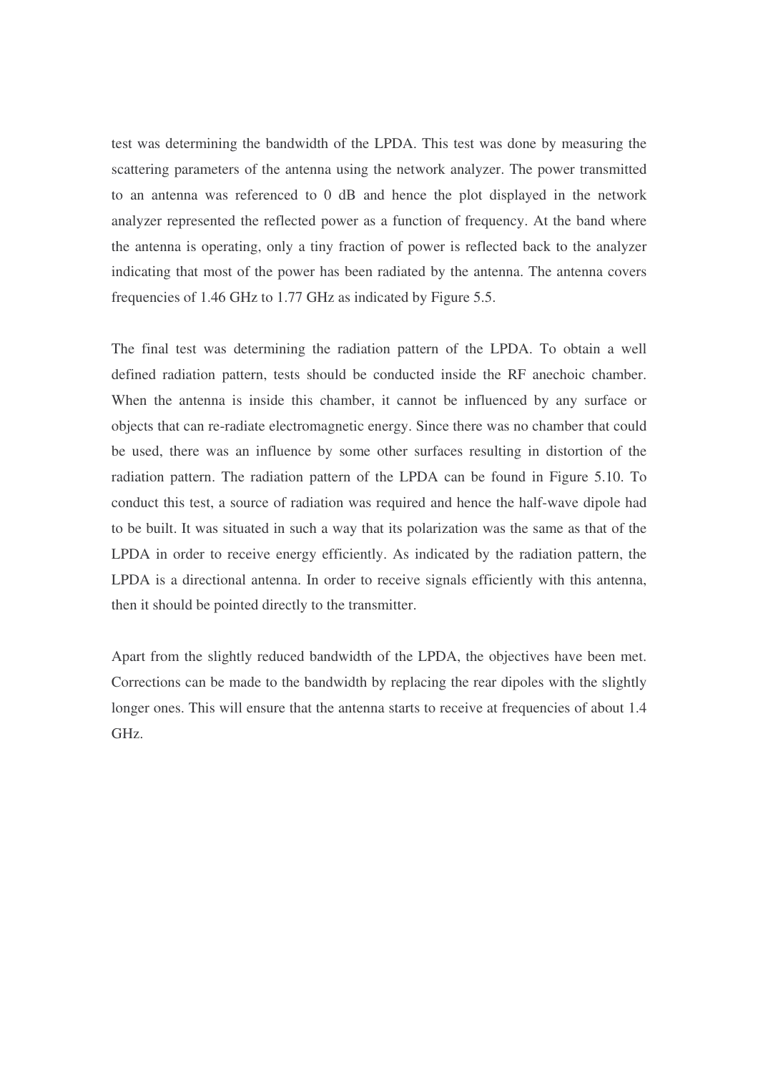test was determining the bandwidth of the LPDA. This test was done by measuring the scattering parameters of the antenna using the network analyzer. The power transmitted to an antenna was referenced to 0 dB and hence the plot displayed in the network analyzer represented the reflected power as a function of frequency. At the band where the antenna is operating, only a tiny fraction of power is reflected back to the analyzer indicating that most of the power has been radiated by the antenna. The antenna covers frequencies of 1.46 GHz to 1.77 GHz as indicated by Figure 5.5.

The final test was determining the radiation pattern of the LPDA. To obtain a well defined radiation pattern, tests should be conducted inside the RF anechoic chamber. When the antenna is inside this chamber, it cannot be influenced by any surface or objects that can re-radiate electromagnetic energy. Since there was no chamber that could be used, there was an influence by some other surfaces resulting in distortion of the radiation pattern. The radiation pattern of the LPDA can be found in Figure 5.10. To conduct this test, a source of radiation was required and hence the half-wave dipole had to be built. It was situated in such a way that its polarization was the same as that of the LPDA in order to receive energy efficiently. As indicated by the radiation pattern, the LPDA is a directional antenna. In order to receive signals efficiently with this antenna, then it should be pointed directly to the transmitter.

Apart from the slightly reduced bandwidth of the LPDA, the objectives have been met. Corrections can be made to the bandwidth by replacing the rear dipoles with the slightly longer ones. This will ensure that the antenna starts to receive at frequencies of about 1.4 GHz.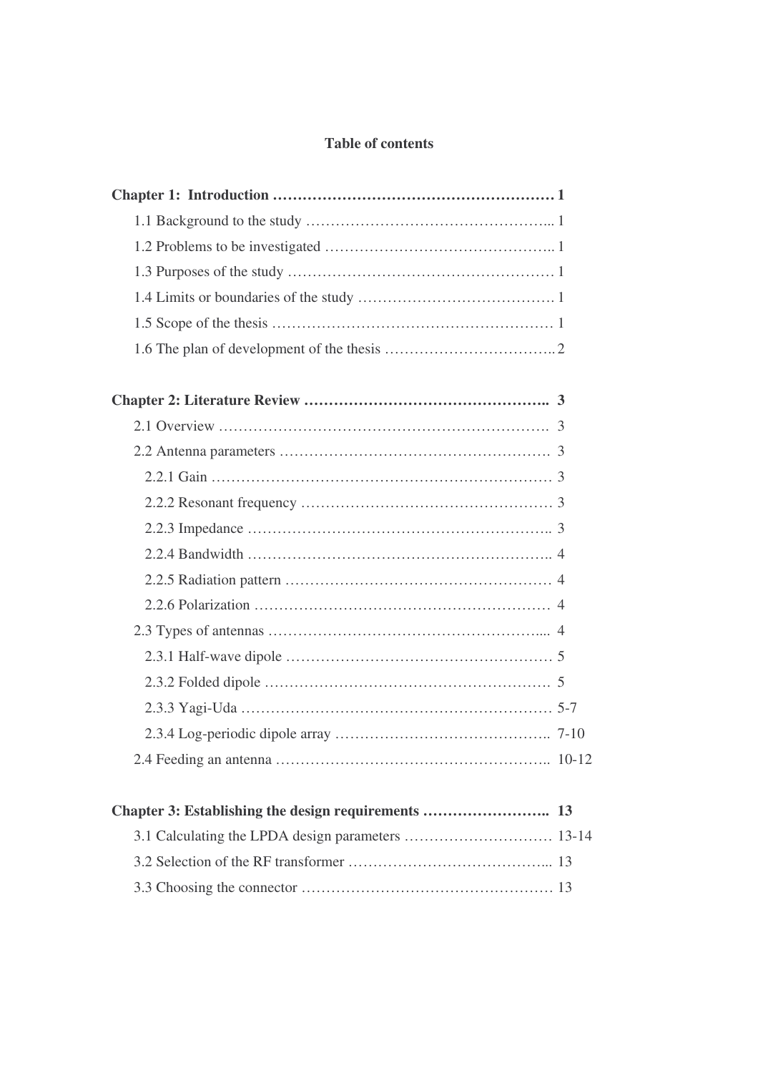# **Table of contents**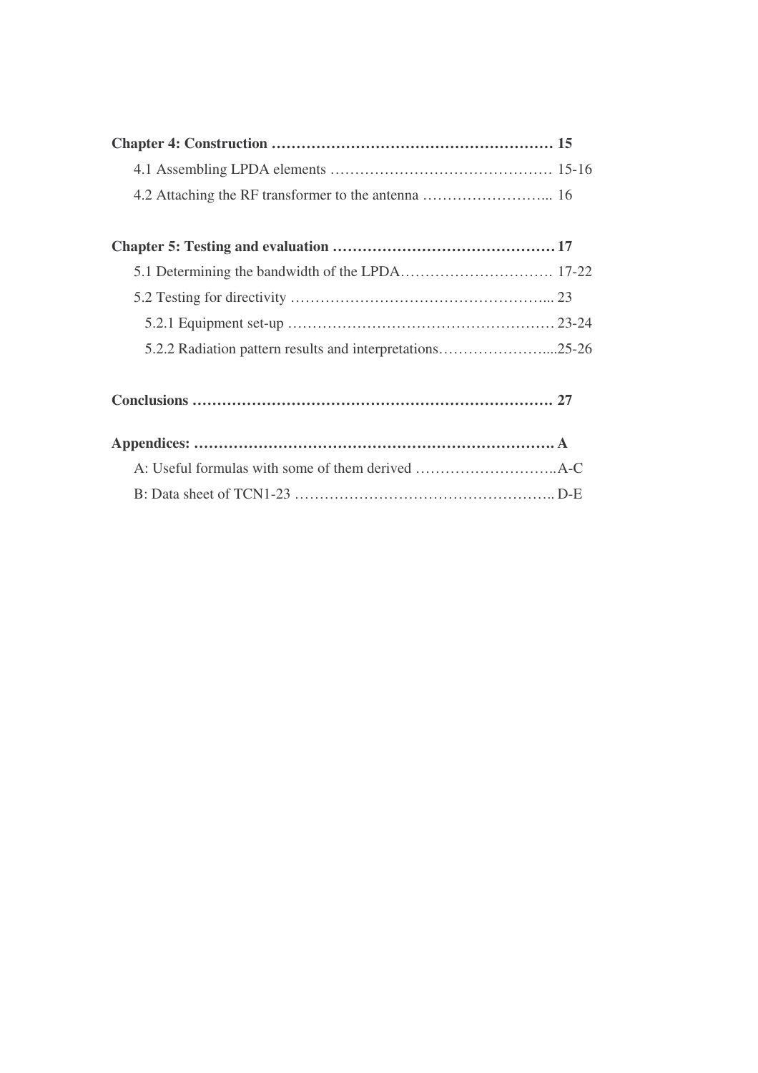| 5.2.2 Radiation pattern results and interpretations25-26 |  |
|----------------------------------------------------------|--|
|                                                          |  |
|                                                          |  |
|                                                          |  |
|                                                          |  |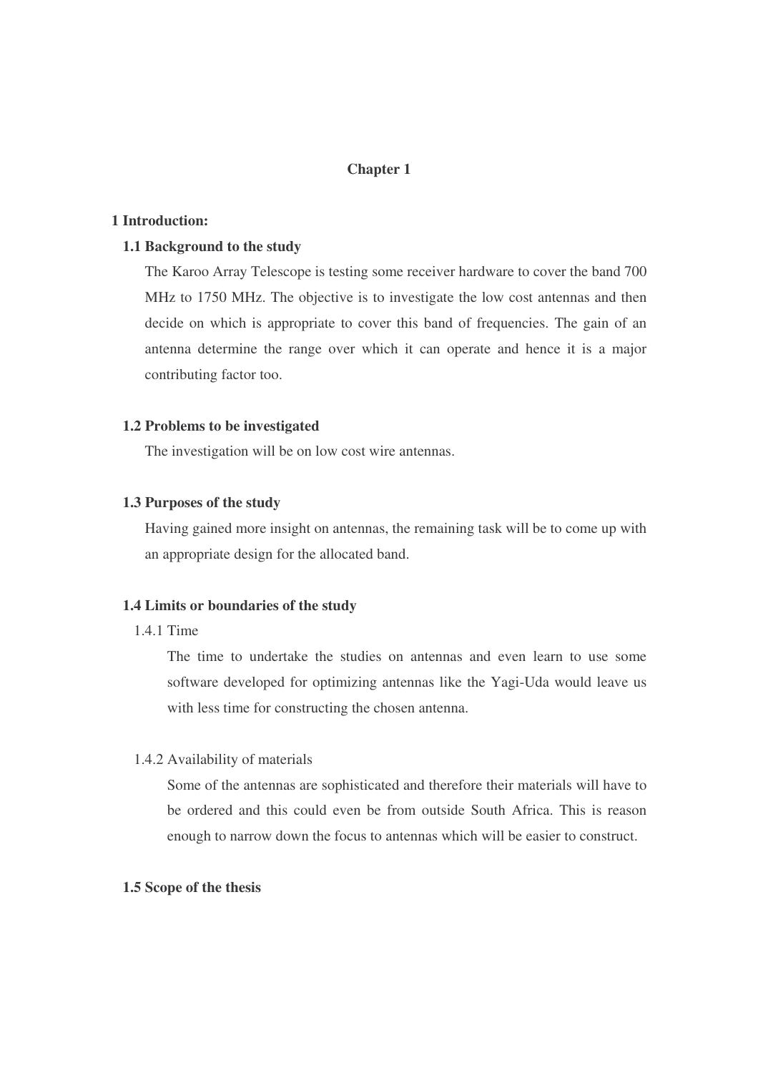# **Chapter 1**

# **1 Introduction:**

### **1.1 Background to the study**

The Karoo Array Telescope is testing some receiver hardware to cover the band 700 MHz to 1750 MHz. The objective is to investigate the low cost antennas and then decide on which is appropriate to cover this band of frequencies. The gain of an antenna determine the range over which it can operate and hence it is a major contributing factor too.

# **1.2 Problems to be investigated**

The investigation will be on low cost wire antennas.

# **1.3 Purposes of the study**

Having gained more insight on antennas, the remaining task will be to come up with an appropriate design for the allocated band.

# **1.4 Limits or boundaries of the study**

# 1.4.1 Time

The time to undertake the studies on antennas and even learn to use some software developed for optimizing antennas like the Yagi-Uda would leave us with less time for constructing the chosen antenna.

#### 1.4.2 Availability of materials

Some of the antennas are sophisticated and therefore their materials will have to be ordered and this could even be from outside South Africa. This is reason enough to narrow down the focus to antennas which will be easier to construct.

# **1.5 Scope of the thesis**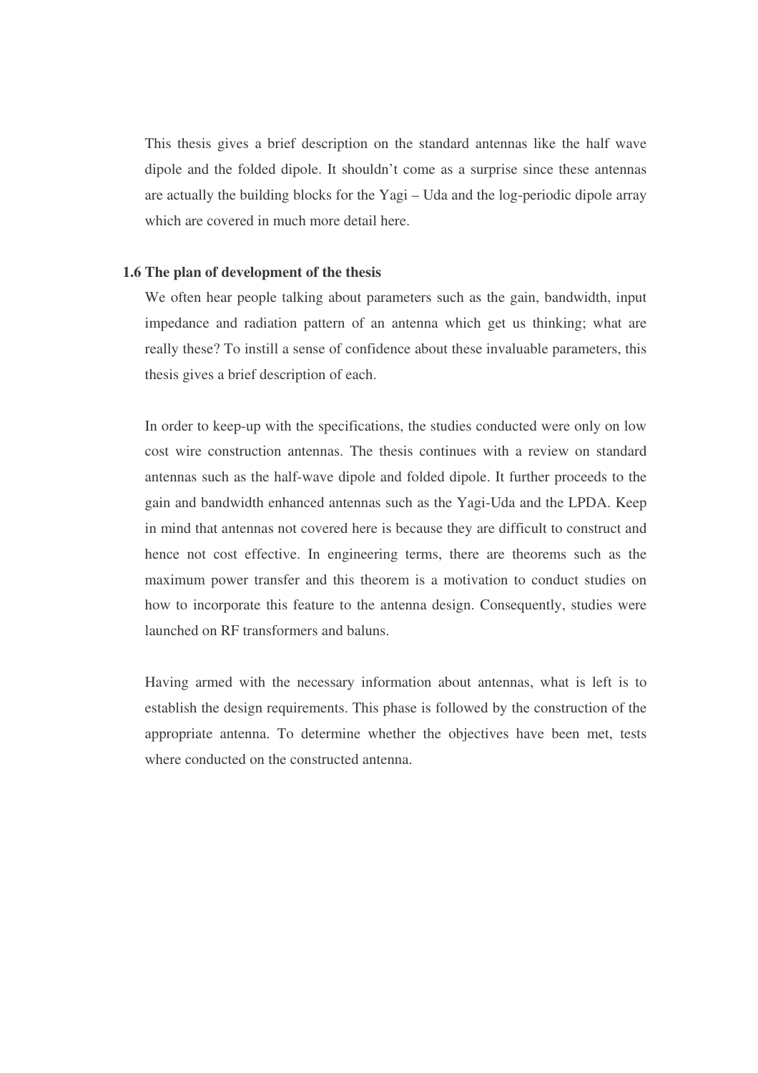This thesis gives a brief description on the standard antennas like the half wave dipole and the folded dipole. It shouldn't come as a surprise since these antennas are actually the building blocks for the Yagi – Uda and the log-periodic dipole array which are covered in much more detail here.

# **1.6 The plan of development of the thesis**

We often hear people talking about parameters such as the gain, bandwidth, input impedance and radiation pattern of an antenna which get us thinking; what are really these? To instill a sense of confidence about these invaluable parameters, this thesis gives a brief description of each.

In order to keep-up with the specifications, the studies conducted were only on low cost wire construction antennas. The thesis continues with a review on standard antennas such as the half-wave dipole and folded dipole. It further proceeds to the gain and bandwidth enhanced antennas such as the Yagi-Uda and the LPDA. Keep in mind that antennas not covered here is because they are difficult to construct and hence not cost effective. In engineering terms, there are theorems such as the maximum power transfer and this theorem is a motivation to conduct studies on how to incorporate this feature to the antenna design. Consequently, studies were launched on RF transformers and baluns.

Having armed with the necessary information about antennas, what is left is to establish the design requirements. This phase is followed by the construction of the appropriate antenna. To determine whether the objectives have been met, tests where conducted on the constructed antenna.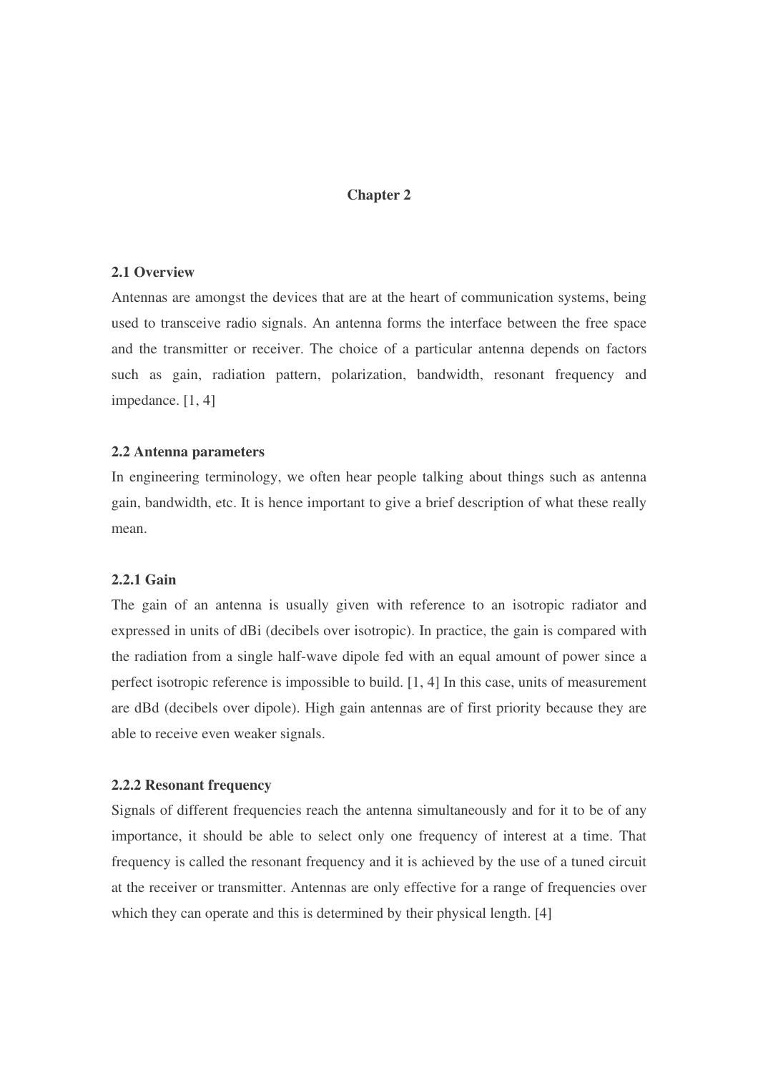# **Chapter 2**

### **2.1 Overview**

Antennas are amongst the devices that are at the heart of communication systems, being used to transceive radio signals. An antenna forms the interface between the free space and the transmitter or receiver. The choice of a particular antenna depends on factors such as gain, radiation pattern, polarization, bandwidth, resonant frequency and impedance. [1, 4]

### **2.2 Antenna parameters**

In engineering terminology, we often hear people talking about things such as antenna gain, bandwidth, etc. It is hence important to give a brief description of what these really mean.

# **2.2.1 Gain**

The gain of an antenna is usually given with reference to an isotropic radiator and expressed in units of dBi (decibels over isotropic). In practice, the gain is compared with the radiation from a single half-wave dipole fed with an equal amount of power since a perfect isotropic reference is impossible to build. [1, 4] In this case, units of measurement are dBd (decibels over dipole). High gain antennas are of first priority because they are able to receive even weaker signals.

### **2.2.2 Resonant frequency**

Signals of different frequencies reach the antenna simultaneously and for it to be of any importance, it should be able to select only one frequency of interest at a time. That frequency is called the resonant frequency and it is achieved by the use of a tuned circuit at the receiver or transmitter. Antennas are only effective for a range of frequencies over which they can operate and this is determined by their physical length. [4]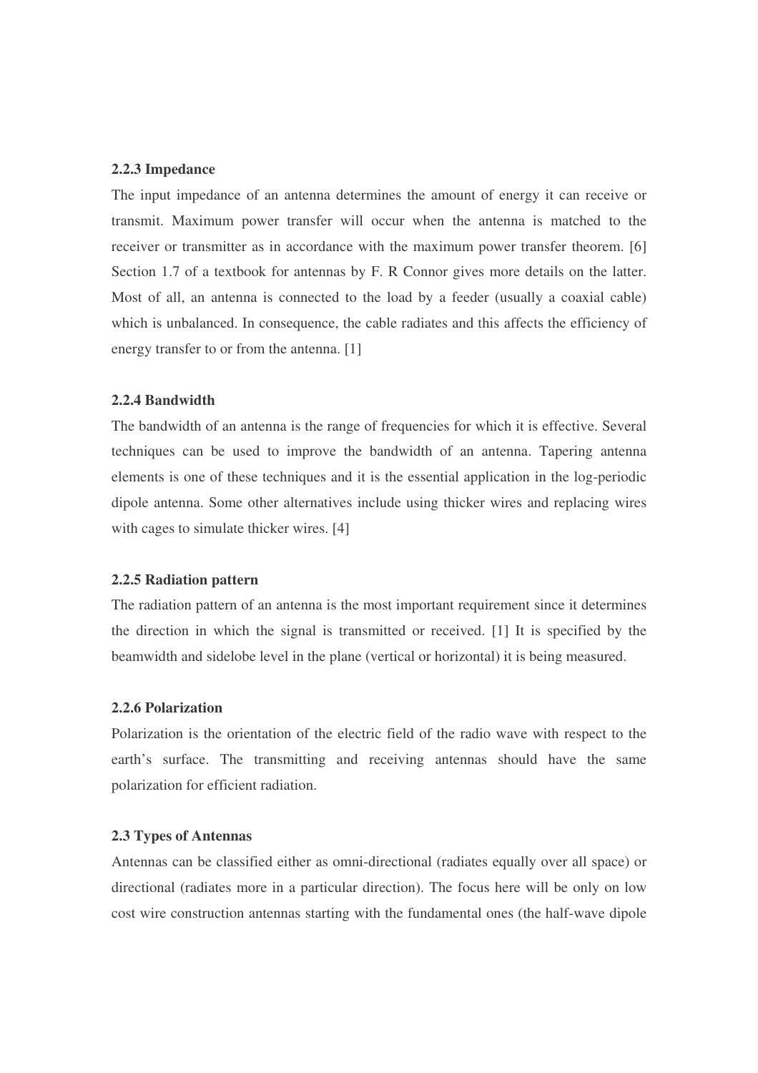#### **2.2.3 Impedance**

The input impedance of an antenna determines the amount of energy it can receive or transmit. Maximum power transfer will occur when the antenna is matched to the receiver or transmitter as in accordance with the maximum power transfer theorem. [6] Section 1.7 of a textbook for antennas by F. R Connor gives more details on the latter. Most of all, an antenna is connected to the load by a feeder (usually a coaxial cable) which is unbalanced. In consequence, the cable radiates and this affects the efficiency of energy transfer to or from the antenna. [1]

### **2.2.4 Bandwidth**

The bandwidth of an antenna is the range of frequencies for which it is effective. Several techniques can be used to improve the bandwidth of an antenna. Tapering antenna elements is one of these techniques and it is the essential application in the log-periodic dipole antenna. Some other alternatives include using thicker wires and replacing wires with cages to simulate thicker wires. [4]

### **2.2.5 Radiation pattern**

The radiation pattern of an antenna is the most important requirement since it determines the direction in which the signal is transmitted or received. [1] It is specified by the beamwidth and sidelobe level in the plane (vertical or horizontal) it is being measured.

### **2.2.6 Polarization**

Polarization is the orientation of the electric field of the radio wave with respect to the earth's surface. The transmitting and receiving antennas should have the same polarization for efficient radiation.

#### **2.3 Types of Antennas**

Antennas can be classified either as omni-directional (radiates equally over all space) or directional (radiates more in a particular direction). The focus here will be only on low cost wire construction antennas starting with the fundamental ones (the half-wave dipole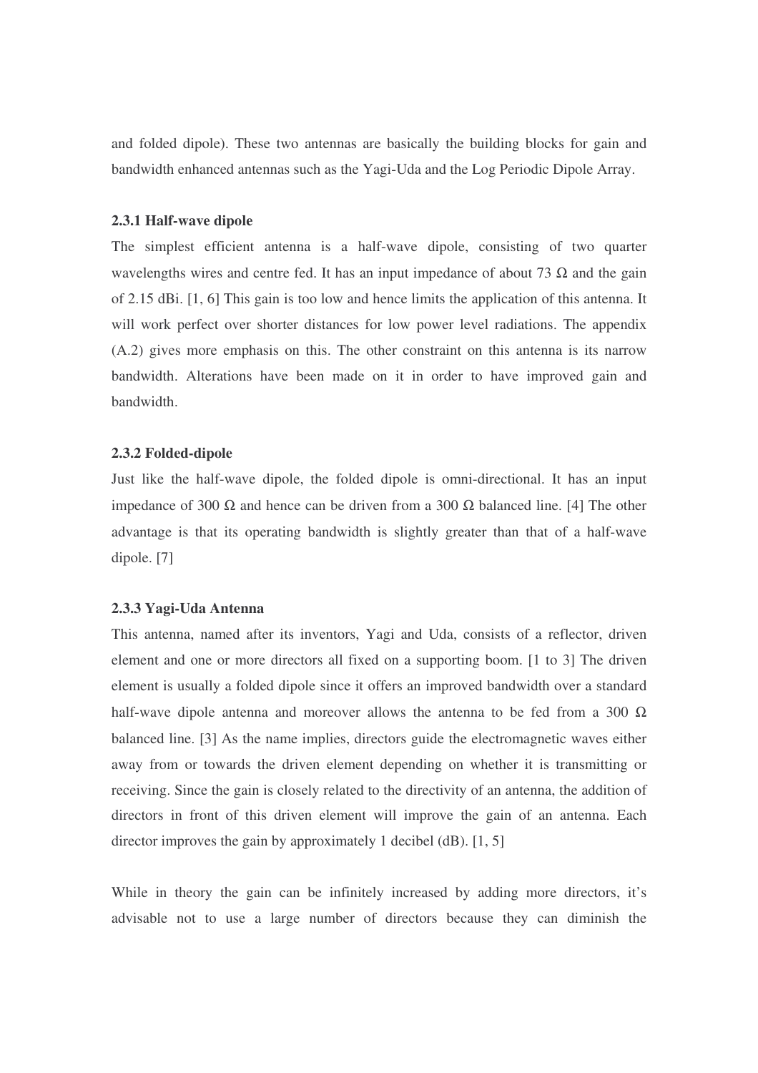and folded dipole). These two antennas are basically the building blocks for gain and bandwidth enhanced antennas such as the Yagi-Uda and the Log Periodic Dipole Array.

### **2.3.1 Half-wave dipole**

The simplest efficient antenna is a half-wave dipole, consisting of two quarter wavelengths wires and centre fed. It has an input impedance of about 73  $\Omega$  and the gain of 2.15 dBi. [1, 6] This gain is too low and hence limits the application of this antenna. It will work perfect over shorter distances for low power level radiations. The appendix (A.2) gives more emphasis on this. The other constraint on this antenna is its narrow bandwidth. Alterations have been made on it in order to have improved gain and bandwidth.

### **2.3.2 Folded-dipole**

Just like the half-wave dipole, the folded dipole is omni-directional. It has an input impedance of 300 Ω and hence can be driven from a 300 Ω balanced line. [4] The other advantage is that its operating bandwidth is slightly greater than that of a half-wave dipole. [7]

# **2.3.3 Yagi-Uda Antenna**

This antenna, named after its inventors, Yagi and Uda, consists of a reflector, driven element and one or more directors all fixed on a supporting boom. [1 to 3] The driven element is usually a folded dipole since it offers an improved bandwidth over a standard half-wave dipole antenna and moreover allows the antenna to be fed from a 300  $\Omega$ balanced line. [3] As the name implies, directors guide the electromagnetic waves either away from or towards the driven element depending on whether it is transmitting or receiving. Since the gain is closely related to the directivity of an antenna, the addition of directors in front of this driven element will improve the gain of an antenna. Each director improves the gain by approximately 1 decibel (dB). [1, 5]

While in theory the gain can be infinitely increased by adding more directors, it's advisable not to use a large number of directors because they can diminish the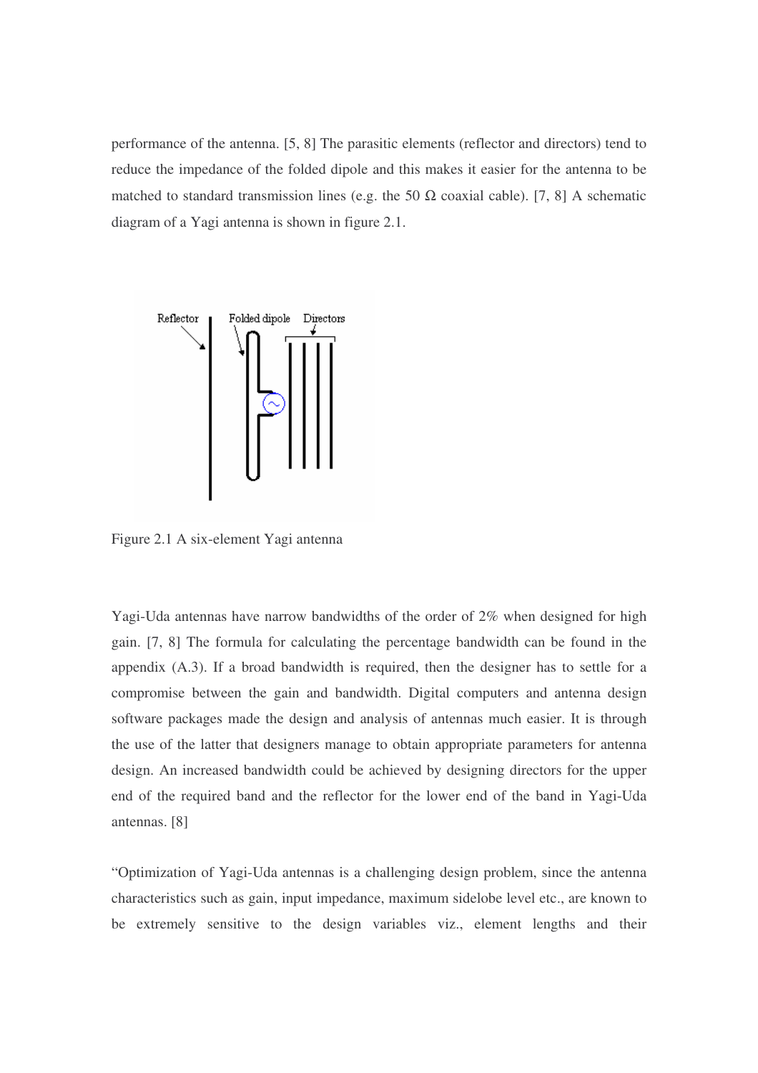performance of the antenna. [5, 8] The parasitic elements (reflector and directors) tend to reduce the impedance of the folded dipole and this makes it easier for the antenna to be matched to standard transmission lines (e.g. the 50  $\Omega$  coaxial cable). [7, 8] A schematic diagram of a Yagi antenna is shown in figure 2.1.



Figure 2.1 A six-element Yagi antenna

Yagi-Uda antennas have narrow bandwidths of the order of 2% when designed for high gain. [7, 8] The formula for calculating the percentage bandwidth can be found in the appendix (A.3). If a broad bandwidth is required, then the designer has to settle for a compromise between the gain and bandwidth. Digital computers and antenna design software packages made the design and analysis of antennas much easier. It is through the use of the latter that designers manage to obtain appropriate parameters for antenna design. An increased bandwidth could be achieved by designing directors for the upper end of the required band and the reflector for the lower end of the band in Yagi-Uda antennas. [8]

"Optimization of Yagi-Uda antennas is a challenging design problem, since the antenna characteristics such as gain, input impedance, maximum sidelobe level etc., are known to be extremely sensitive to the design variables viz., element lengths and their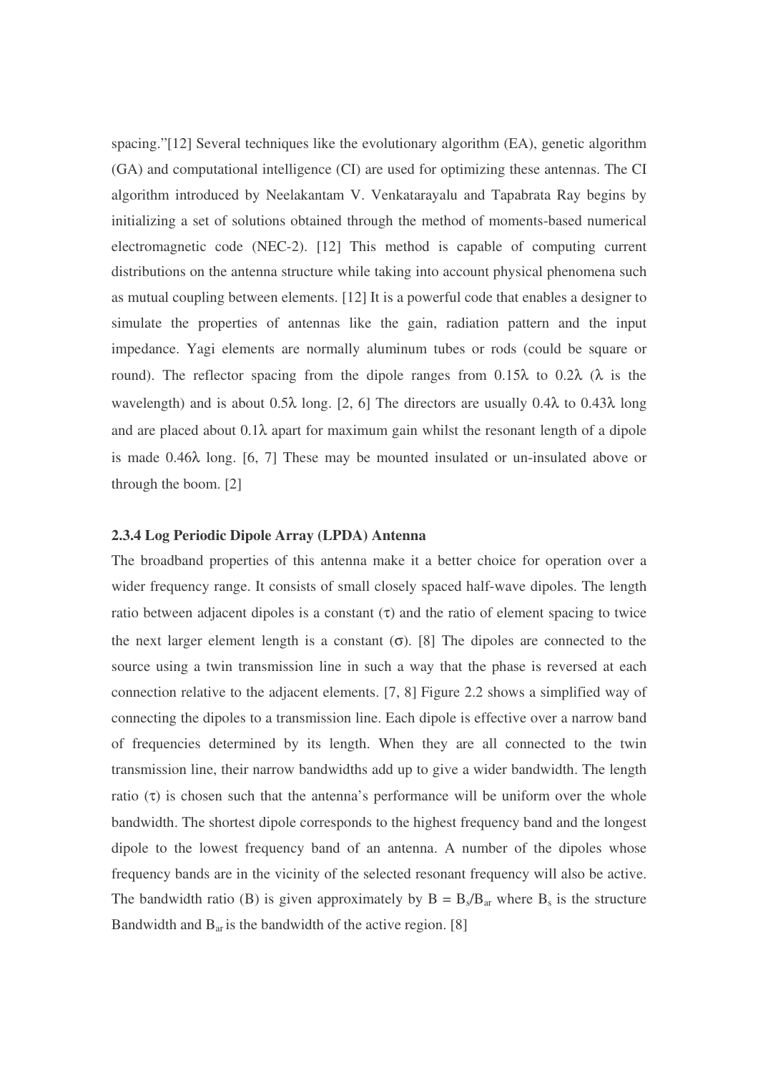spacing."[12] Several techniques like the evolutionary algorithm (EA), genetic algorithm (GA) and computational intelligence (CI) are used for optimizing these antennas. The CI algorithm introduced by Neelakantam V. Venkatarayalu and Tapabrata Ray begins by initializing a set of solutions obtained through the method of moments-based numerical electromagnetic code (NEC-2). [12] This method is capable of computing current distributions on the antenna structure while taking into account physical phenomena such as mutual coupling between elements. [12] It is a powerful code that enables a designer to simulate the properties of antennas like the gain, radiation pattern and the input impedance. Yagi elements are normally aluminum tubes or rods (could be square or round). The reflector spacing from the dipole ranges from  $0.15\lambda$  to  $0.2\lambda$  ( $\lambda$  is the wavelength) and is about 0.5 $\lambda$  long. [2, 6] The directors are usually 0.4 $\lambda$  to 0.43 $\lambda$  long and are placed about  $0.1\lambda$  apart for maximum gain whilst the resonant length of a dipole is made 0.46λ long. [6, 7] These may be mounted insulated or un-insulated above or through the boom. [2]

#### **2.3.4 Log Periodic Dipole Array (LPDA) Antenna**

The broadband properties of this antenna make it a better choice for operation over a wider frequency range. It consists of small closely spaced half-wave dipoles. The length ratio between adjacent dipoles is a constant  $(\tau)$  and the ratio of element spacing to twice the next larger element length is a constant  $(\sigma)$ . [8] The dipoles are connected to the source using a twin transmission line in such a way that the phase is reversed at each connection relative to the adjacent elements. [7, 8] Figure 2.2 shows a simplified way of connecting the dipoles to a transmission line. Each dipole is effective over a narrow band of frequencies determined by its length. When they are all connected to the twin transmission line, their narrow bandwidths add up to give a wider bandwidth. The length ratio  $(\tau)$  is chosen such that the antenna's performance will be uniform over the whole bandwidth. The shortest dipole corresponds to the highest frequency band and the longest dipole to the lowest frequency band of an antenna. A number of the dipoles whose frequency bands are in the vicinity of the selected resonant frequency will also be active. The bandwidth ratio (B) is given approximately by  $B = B_s/B_{ar}$  where  $B_s$  is the structure Bandwidth and  $B_{ar}$  is the bandwidth of the active region. [8]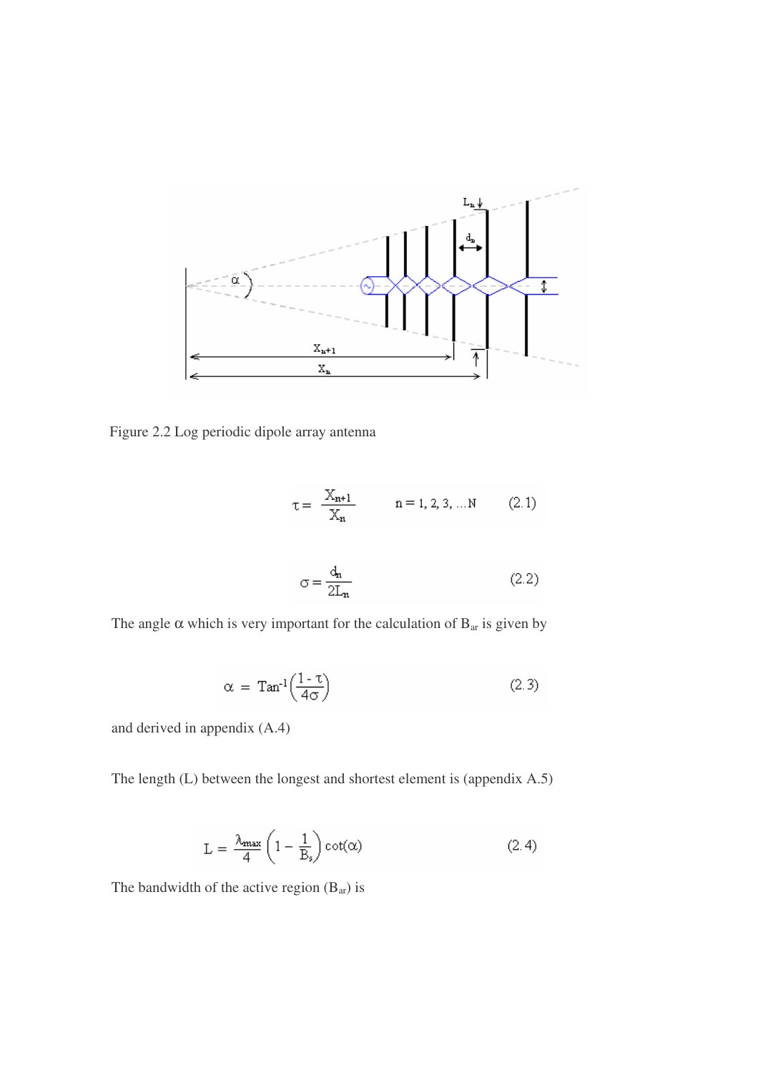

Figure 2.2 Log periodic dipole array antenna

$$
\tau = \frac{X_{n+1}}{X_n} \qquad n = 1, 2, 3, ... N \qquad (2.1)
$$

$$
\sigma = \frac{d_n}{2L_n} \tag{2.2}
$$

The angle  $\alpha$  which is very important for the calculation of  $B_{ar}$  is given by

$$
\alpha = \text{Tan}^{-1}\left(\frac{1-\tau}{4\sigma}\right) \tag{2.3}
$$

and derived in appendix (A.4)

The length (L) between the longest and shortest element is (appendix A.5)

$$
L = \frac{\lambda_{\max}}{4} \left( 1 - \frac{1}{B_s} \right) \cot(\alpha) \tag{2.4}
$$

The bandwidth of the active region  $(B_{ar})$  is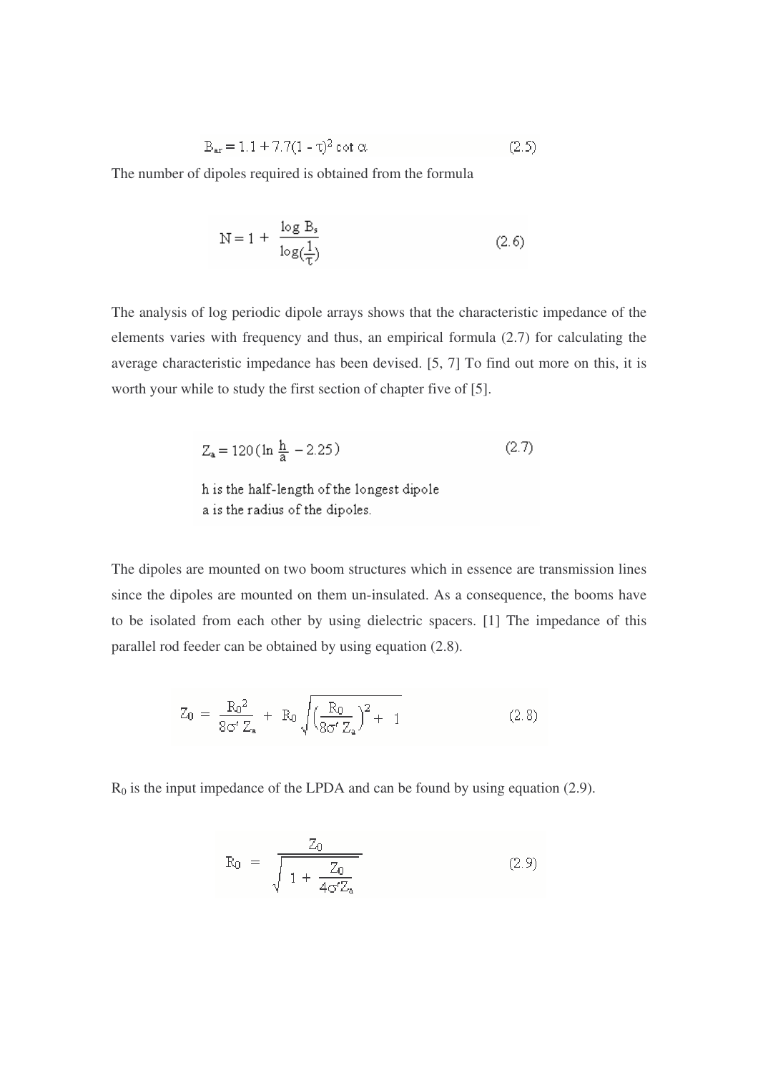$$
B_{ar} = 1.1 + 7.7(1 - \tau)^2 \cot \alpha \tag{2.5}
$$

The number of dipoles required is obtained from the formula

$$
N = 1 + \frac{\log B_s}{\log(\frac{1}{T})}
$$
 (2.6)

The analysis of log periodic dipole arrays shows that the characteristic impedance of the elements varies with frequency and thus, an empirical formula (2.7) for calculating the average characteristic impedance has been devised. [5, 7] To find out more on this, it is worth your while to study the first section of chapter five of [5].

$$
Z_a = 120 \left( \ln \frac{h}{a} - 2.25 \right) \tag{2.7}
$$

The dipoles are mounted on two boom structures which in essence are transmission lines since the dipoles are mounted on them un-insulated. As a consequence, the booms have to be isolated from each other by using dielectric spacers. [1] The impedance of this parallel rod feeder can be obtained by using equation (2.8).

$$
Z_0 = \frac{R_0^2}{8\sigma' Z_a} + R_0 \sqrt{\left(\frac{R_0}{8\sigma' Z_a}\right)^2 + 1}
$$
 (2.8)

 $R_0$  is the input impedance of the LPDA and can be found by using equation (2.9).

$$
R_0 = \frac{Z_0}{\sqrt{1 + \frac{Z_0}{4\sigma' Z_a}}} \tag{2.9}
$$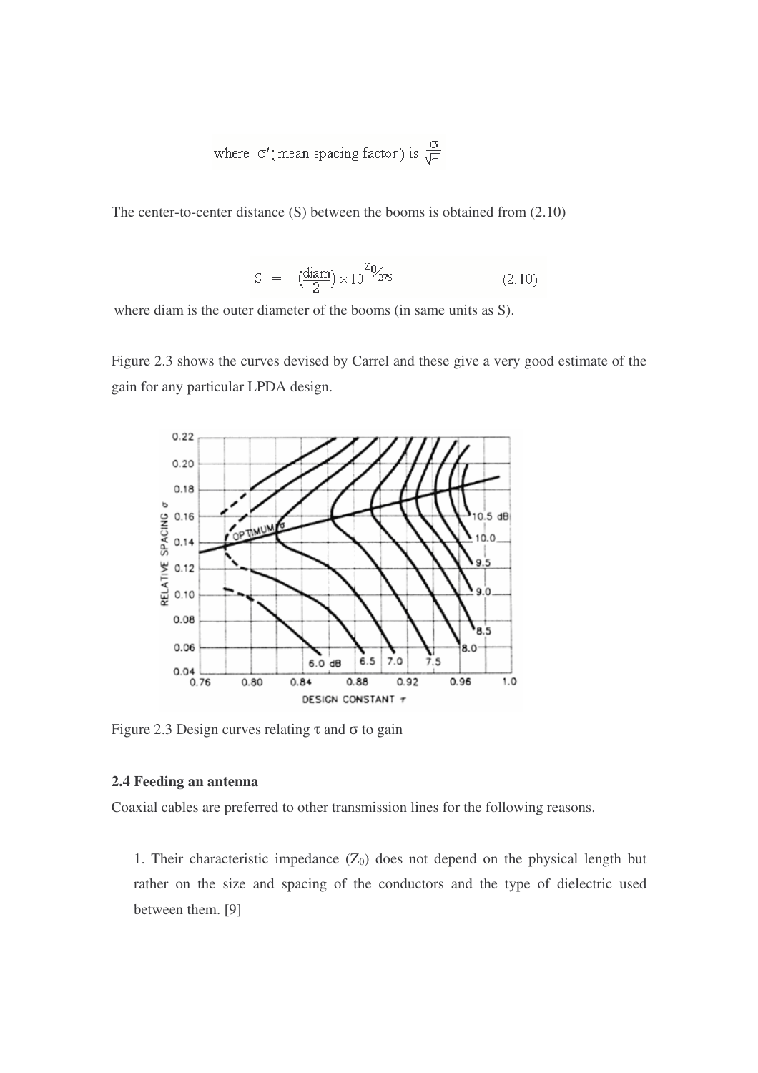where 
$$
\sigma'
$$
 (mean spacing factor) is  $\frac{\sigma}{\sqrt{\tau}}$ 

The center-to-center distance (S) between the booms is obtained from (2.10)

$$
S = \left(\frac{\text{diam}}{2}\right) \times 10^{7/2} \text{m} \tag{2.10}
$$

where diam is the outer diameter of the booms (in same units as S).

Figure 2.3 shows the curves devised by Carrel and these give a very good estimate of the gain for any particular LPDA design.



Figure 2.3 Design curves relating  $\tau$  and  $\sigma$  to gain

# **2.4 Feeding an antenna**

Coaxial cables are preferred to other transmission lines for the following reasons.

1. Their characteristic impedance  $(Z_0)$  does not depend on the physical length but rather on the size and spacing of the conductors and the type of dielectric used between them. [9]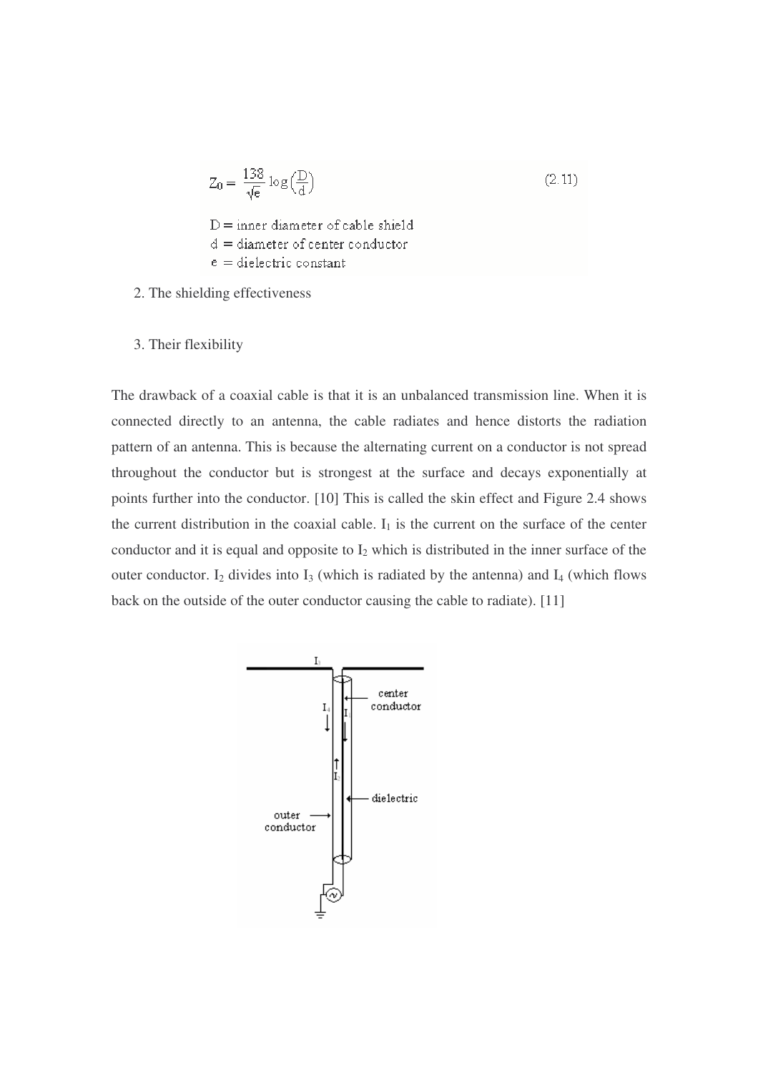$$
Z_0 = \frac{138}{\sqrt{e}} \log \left(\frac{D}{d}\right) \tag{2.11}
$$

 $D =$ inner diameter of cable shield  $d =$  diameter of center conductor  $e =$  dielectric constant

- 2. The shielding effectiveness
- 3. Their flexibility

The drawback of a coaxial cable is that it is an unbalanced transmission line. When it is connected directly to an antenna, the cable radiates and hence distorts the radiation pattern of an antenna. This is because the alternating current on a conductor is not spread throughout the conductor but is strongest at the surface and decays exponentially at points further into the conductor. [10] This is called the skin effect and Figure 2.4 shows the current distribution in the coaxial cable.  $I_1$  is the current on the surface of the center conductor and it is equal and opposite to  $I_2$  which is distributed in the inner surface of the outer conductor.  $I_2$  divides into  $I_3$  (which is radiated by the antenna) and  $I_4$  (which flows back on the outside of the outer conductor causing the cable to radiate). [11]

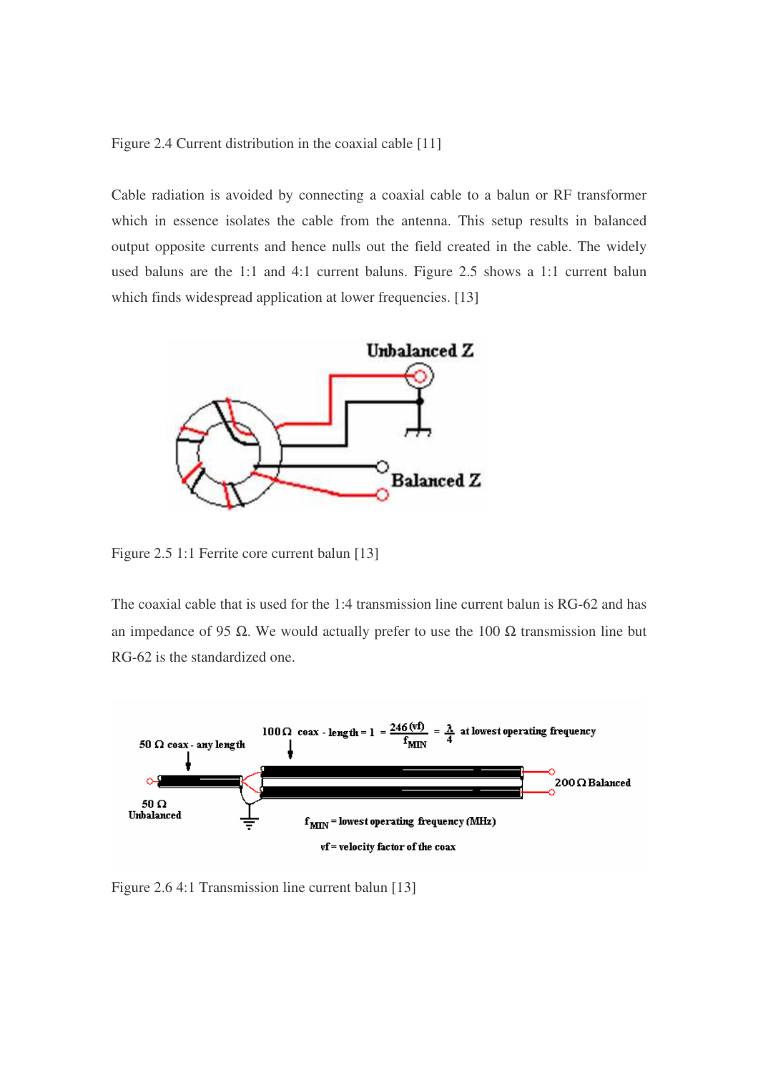Figure 2.4 Current distribution in the coaxial cable [11]

Cable radiation is avoided by connecting a coaxial cable to a balun or RF transformer which in essence isolates the cable from the antenna. This setup results in balanced output opposite currents and hence nulls out the field created in the cable. The widely used baluns are the 1:1 and 4:1 current baluns. Figure 2.5 shows a 1:1 current balun which finds widespread application at lower frequencies. [13]



Figure 2.5 1:1 Ferrite core current balun [13]

The coaxial cable that is used for the 1:4 transmission line current balun is RG-62 and has an impedance of 95 Ω. We would actually prefer to use the 100 Ω transmission line but RG-62 is the standardized one.



Figure 2.6 4:1 Transmission line current balun [13]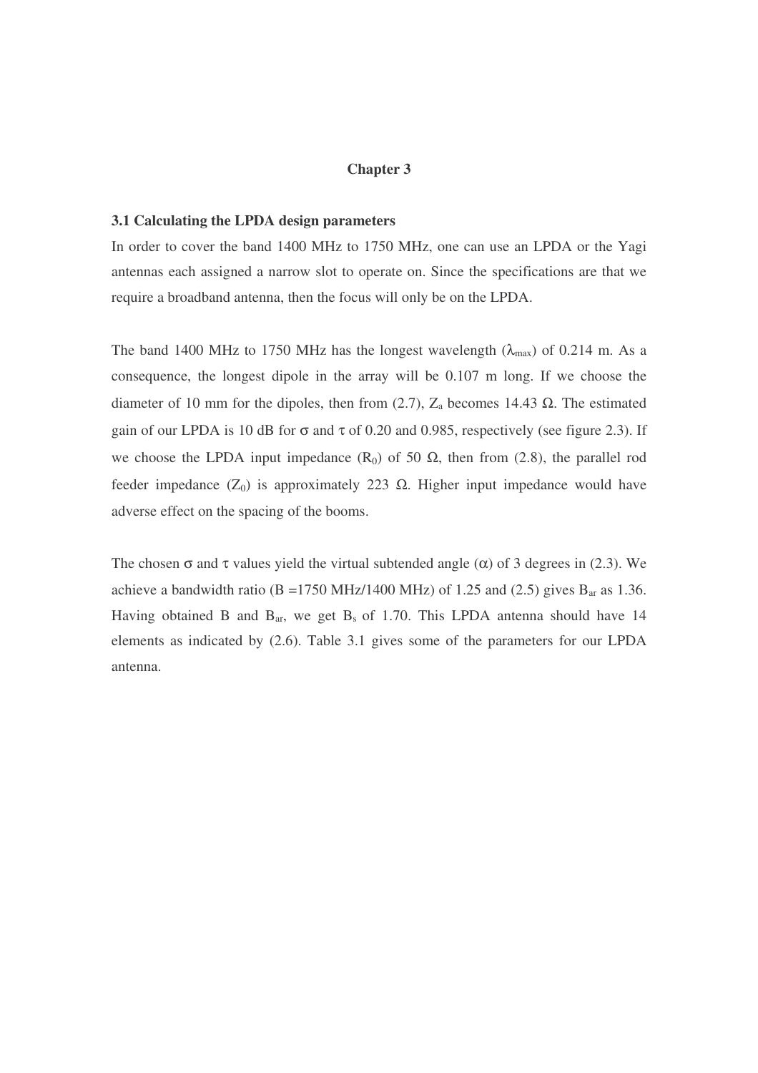# **Chapter 3**

### **3.1 Calculating the LPDA design parameters**

In order to cover the band 1400 MHz to 1750 MHz, one can use an LPDA or the Yagi antennas each assigned a narrow slot to operate on. Since the specifications are that we require a broadband antenna, then the focus will only be on the LPDA.

The band 1400 MHz to 1750 MHz has the longest wavelength  $(\lambda_{\text{max}})$  of 0.214 m. As a consequence, the longest dipole in the array will be 0.107 m long. If we choose the diameter of 10 mm for the dipoles, then from (2.7),  $Z_a$  becomes 14.43  $\Omega$ . The estimated gain of our LPDA is 10 dB for  $\sigma$  and  $\tau$  of 0.20 and 0.985, respectively (see figure 2.3). If we choose the LPDA input impedance  $(R_0)$  of 50  $\Omega$ , then from (2.8), the parallel rod feeder impedance ( $Z_0$ ) is approximately 223  $\Omega$ . Higher input impedance would have adverse effect on the spacing of the booms.

The chosen  $\sigma$  and  $\tau$  values yield the virtual subtended angle ( $\alpha$ ) of 3 degrees in (2.3). We achieve a bandwidth ratio (B =1750 MHz/1400 MHz) of 1.25 and (2.5) gives  $B_{ar}$  as 1.36. Having obtained B and  $B_{ar}$ , we get  $B_s$  of 1.70. This LPDA antenna should have 14 elements as indicated by (2.6). Table 3.1 gives some of the parameters for our LPDA antenna.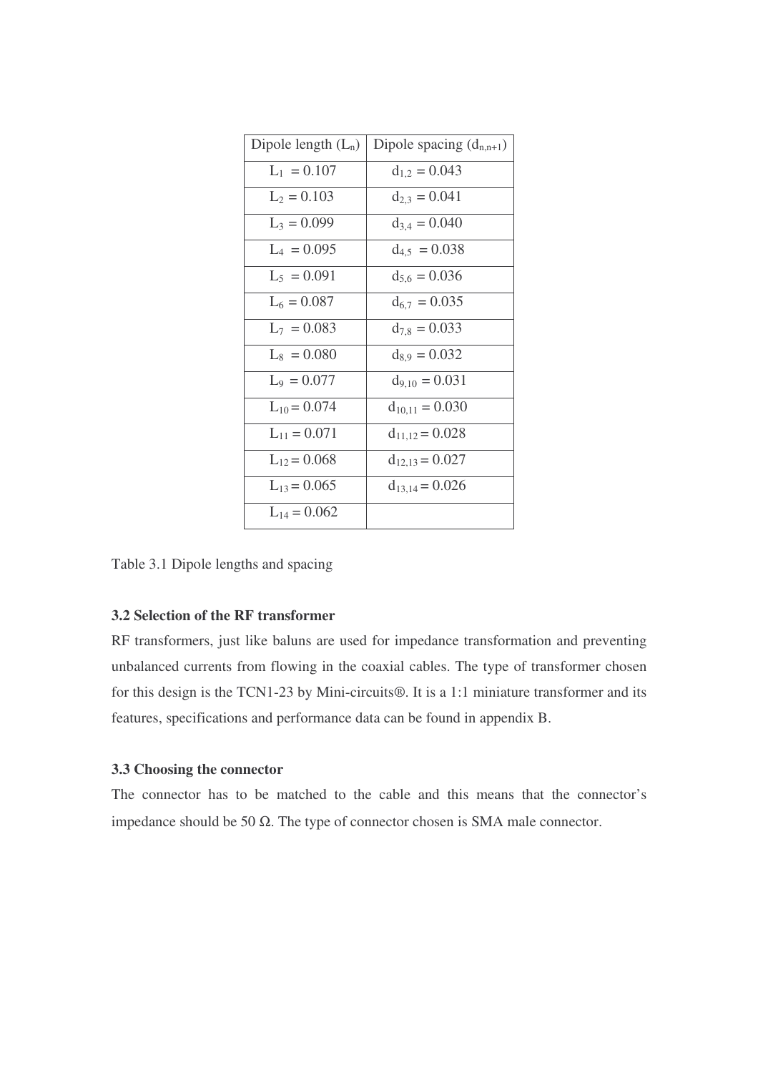| Dipole length $(L_n)$ | Dipole spacing $(d_{n,n+1})$ |
|-----------------------|------------------------------|
| $L_1 = 0.107$         | $d_{1,2} = 0.043$            |
| $L_2 = 0.103$         | $d_{2,3} = 0.041$            |
| $L_3 = 0.099$         | $d_{3,4} = 0.040$            |
| $L_4 = 0.095$         | $d_{4,5} = 0.038$            |
| $L_5 = 0.091$         | $d_{5.6} = 0.036$            |
| $L_6 = 0.087$         | $d_{6,7} = 0.035$            |
| $L_7 = 0.083$         | $d_{7,8} = 0.033$            |
| $L_8 = 0.080$         | $d_{8,9} = 0.032$            |
| $L_9 = 0.077$         | $d_{9,10} = 0.031$           |
| $L_{10} = 0.074$      | $d_{10,11} = 0.030$          |
| $L_{11} = 0.071$      | $d_{11,12} = 0.028$          |
| $L_{12} = 0.068$      | $d_{12,13} = 0.027$          |
| $L_{13} = 0.065$      | $d_{13,14} = 0.026$          |
| $L_{14} = 0.062$      |                              |

Table 3.1 Dipole lengths and spacing

# **3.2 Selection of the RF transformer**

RF transformers, just like baluns are used for impedance transformation and preventing unbalanced currents from flowing in the coaxial cables. The type of transformer chosen for this design is the TCN1-23 by Mini-circuits®. It is a 1:1 miniature transformer and its features, specifications and performance data can be found in appendix B.

### **3.3 Choosing the connector**

The connector has to be matched to the cable and this means that the connector's impedance should be 50 Ω. The type of connector chosen is SMA male connector.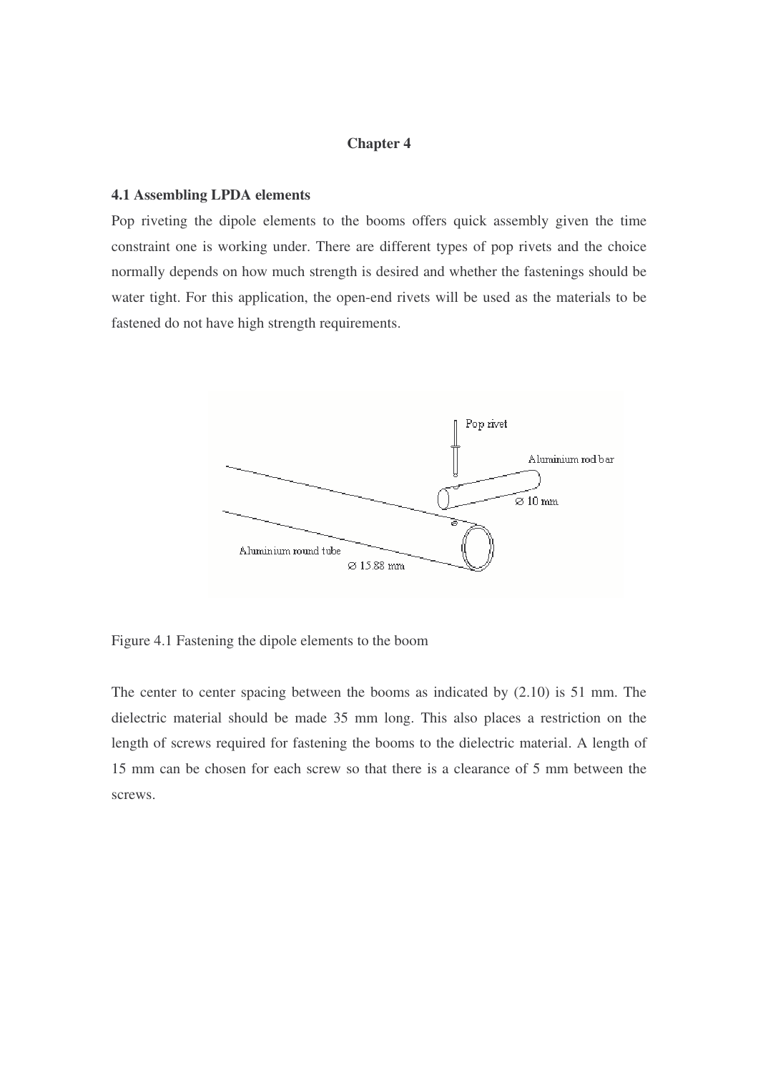# **Chapter 4**

### **4.1 Assembling LPDA elements**

Pop riveting the dipole elements to the booms offers quick assembly given the time constraint one is working under. There are different types of pop rivets and the choice normally depends on how much strength is desired and whether the fastenings should be water tight. For this application, the open-end rivets will be used as the materials to be fastened do not have high strength requirements.



Figure 4.1 Fastening the dipole elements to the boom

The center to center spacing between the booms as indicated by (2.10) is 51 mm. The dielectric material should be made 35 mm long. This also places a restriction on the length of screws required for fastening the booms to the dielectric material. A length of 15 mm can be chosen for each screw so that there is a clearance of 5 mm between the screws.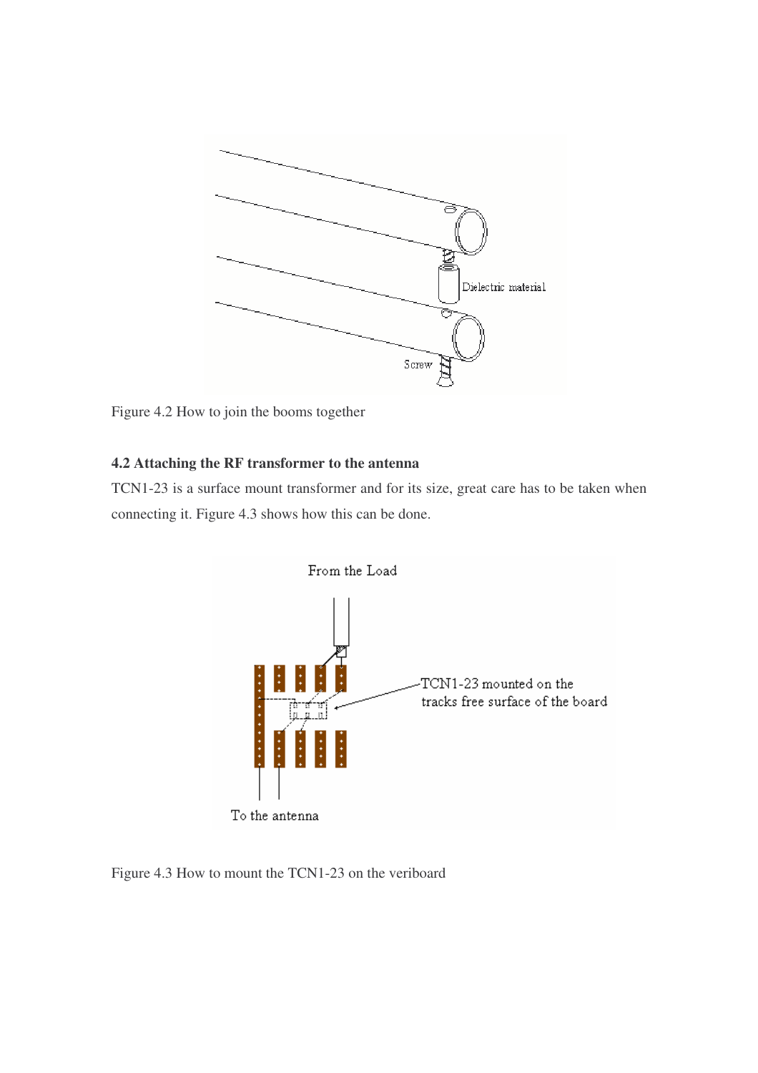

Figure 4.2 How to join the booms together

# **4.2 Attaching the RF transformer to the antenna**

TCN1-23 is a surface mount transformer and for its size, great care has to be taken when connecting it. Figure 4.3 shows how this can be done.



Figure 4.3 How to mount the TCN1-23 on the veriboard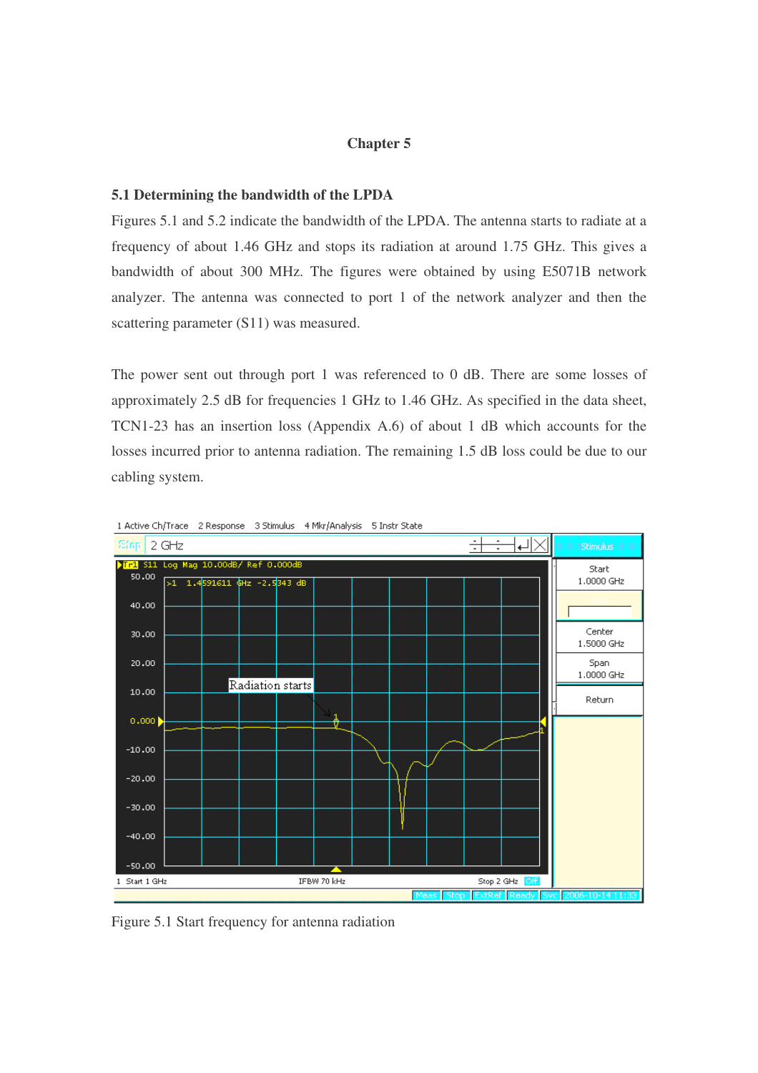# **Chapter 5**

#### **5.1 Determining the bandwidth of the LPDA**

Figures 5.1 and 5.2 indicate the bandwidth of the LPDA. The antenna starts to radiate at a frequency of about 1.46 GHz and stops its radiation at around 1.75 GHz. This gives a bandwidth of about 300 MHz. The figures were obtained by using E5071B network analyzer. The antenna was connected to port 1 of the network analyzer and then the scattering parameter (S11) was measured.

The power sent out through port 1 was referenced to 0 dB. There are some losses of approximately 2.5 dB for frequencies 1 GHz to 1.46 GHz. As specified in the data sheet, TCN1-23 has an insertion loss (Appendix A.6) of about 1 dB which accounts for the losses incurred prior to antenna radiation. The remaining 1.5 dB loss could be due to our cabling system.



1 Active Ch/Trace 2 Response 3 Stimulus 4 Mkr/Analysis 5 Instr State

Figure 5.1 Start frequency for antenna radiation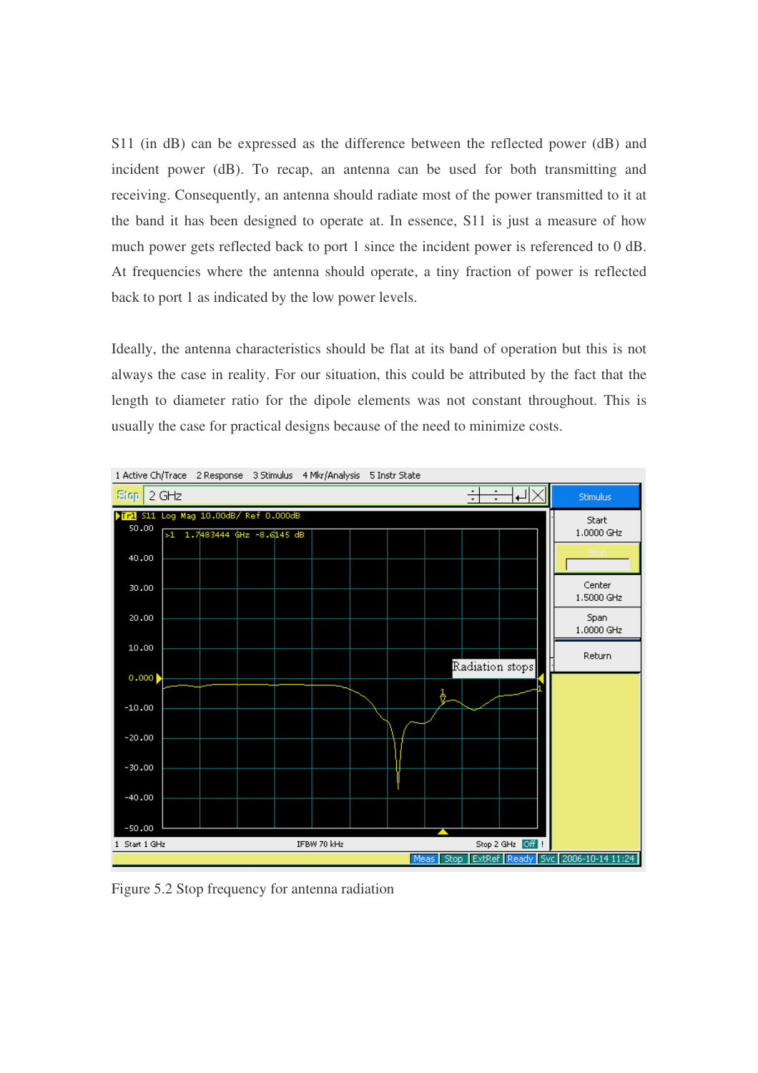S11 (in dB) can be expressed as the difference between the reflected power (dB) and incident power (dB). To recap, an antenna can be used for both transmitting and receiving. Consequently, an antenna should radiate most of the power transmitted to it at the band it has been designed to operate at. In essence, S11 is just a measure of how much power gets reflected back to port 1 since the incident power is referenced to 0 dB. At frequencies where the antenna should operate, a tiny fraction of power is reflected back to port 1 as indicated by the low power levels.

Ideally, the antenna characteristics should be flat at its band of operation but this is not always the case in reality. For our situation, this could be attributed by the fact that the length to diameter ratio for the dipole elements was not constant throughout. This is usually the case for practical designs because of the need to minimize costs.



Figure 5.2 Stop frequency for antenna radiation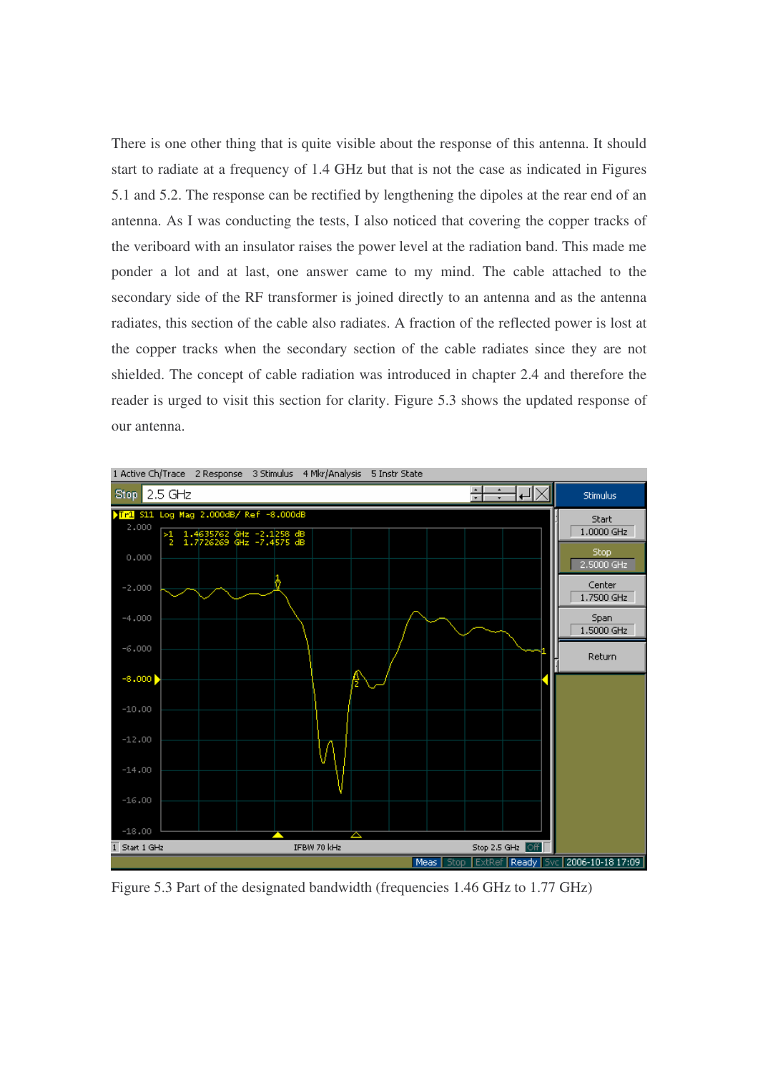There is one other thing that is quite visible about the response of this antenna. It should start to radiate at a frequency of 1.4 GHz but that is not the case as indicated in Figures 5.1 and 5.2. The response can be rectified by lengthening the dipoles at the rear end of an antenna. As I was conducting the tests, I also noticed that covering the copper tracks of the veriboard with an insulator raises the power level at the radiation band. This made me ponder a lot and at last, one answer came to my mind. The cable attached to the secondary side of the RF transformer is joined directly to an antenna and as the antenna radiates, this section of the cable also radiates. A fraction of the reflected power is lost at the copper tracks when the secondary section of the cable radiates since they are not shielded. The concept of cable radiation was introduced in chapter 2.4 and therefore the reader is urged to visit this section for clarity. Figure 5.3 shows the updated response of our antenna.



Figure 5.3 Part of the designated bandwidth (frequencies 1.46 GHz to 1.77 GHz)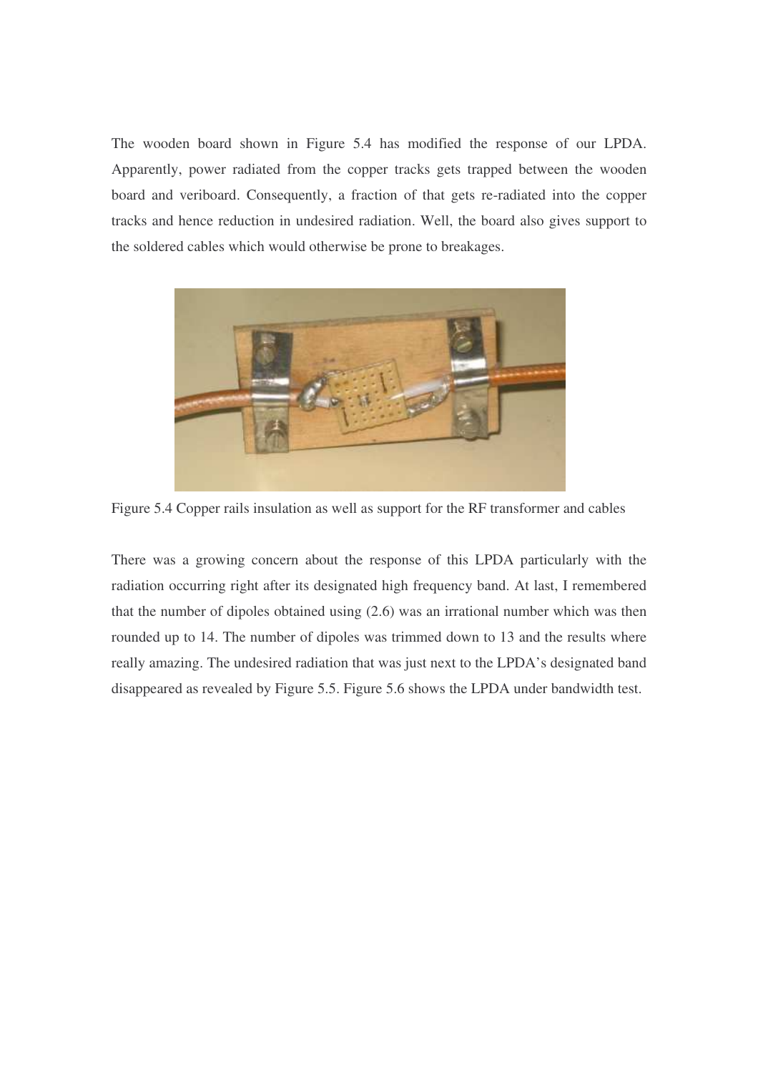The wooden board shown in Figure 5.4 has modified the response of our LPDA. Apparently, power radiated from the copper tracks gets trapped between the wooden board and veriboard. Consequently, a fraction of that gets re-radiated into the copper tracks and hence reduction in undesired radiation. Well, the board also gives support to the soldered cables which would otherwise be prone to breakages.



Figure 5.4 Copper rails insulation as well as support for the RF transformer and cables

There was a growing concern about the response of this LPDA particularly with the radiation occurring right after its designated high frequency band. At last, I remembered that the number of dipoles obtained using (2.6) was an irrational number which was then rounded up to 14. The number of dipoles was trimmed down to 13 and the results where really amazing. The undesired radiation that was just next to the LPDA's designated band disappeared as revealed by Figure 5.5. Figure 5.6 shows the LPDA under bandwidth test.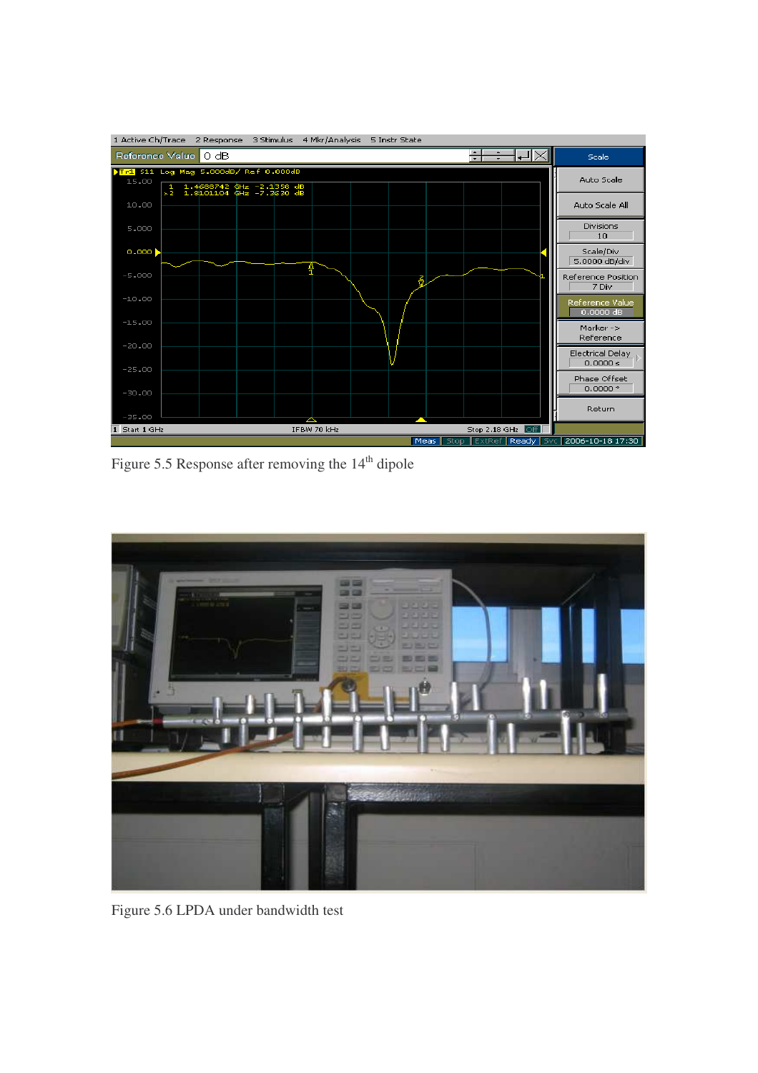

Figure 5.5 Response after removing the  $14<sup>th</sup>$  dipole



Figure 5.6 LPDA under bandwidth test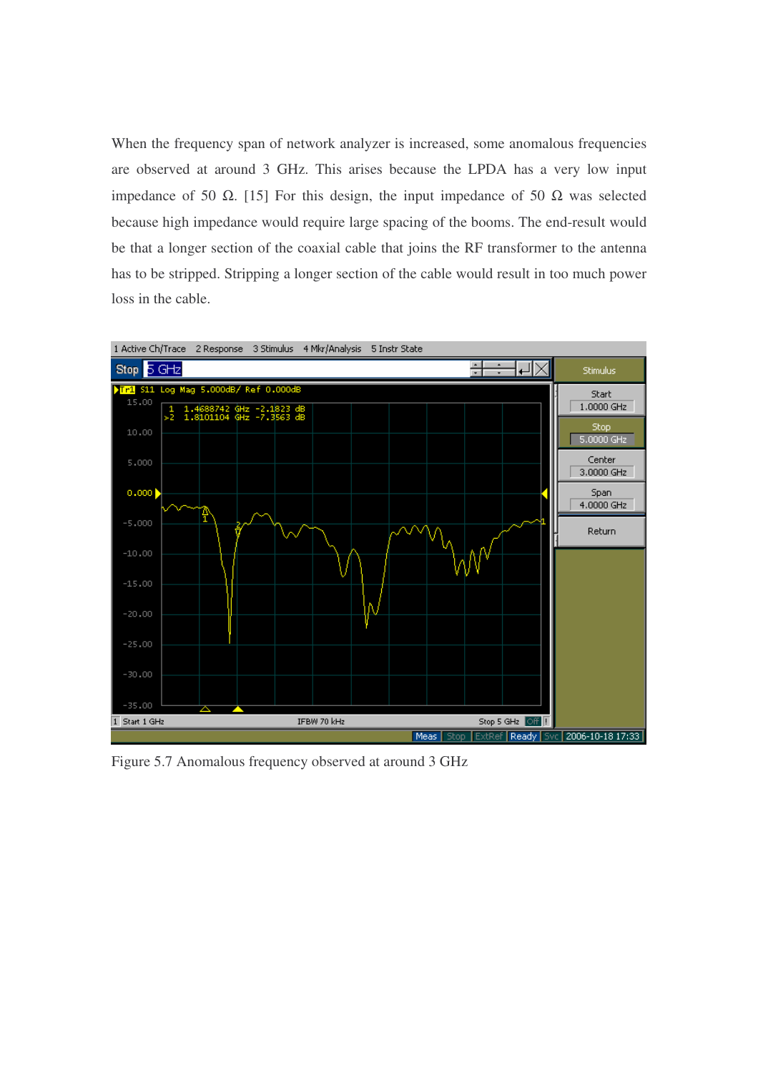When the frequency span of network analyzer is increased, some anomalous frequencies are observed at around 3 GHz. This arises because the LPDA has a very low input impedance of 50 Ω. [15] For this design, the input impedance of 50 Ω was selected because high impedance would require large spacing of the booms. The end-result would be that a longer section of the coaxial cable that joins the RF transformer to the antenna has to be stripped. Stripping a longer section of the cable would result in too much power loss in the cable.



Figure 5.7 Anomalous frequency observed at around 3 GHz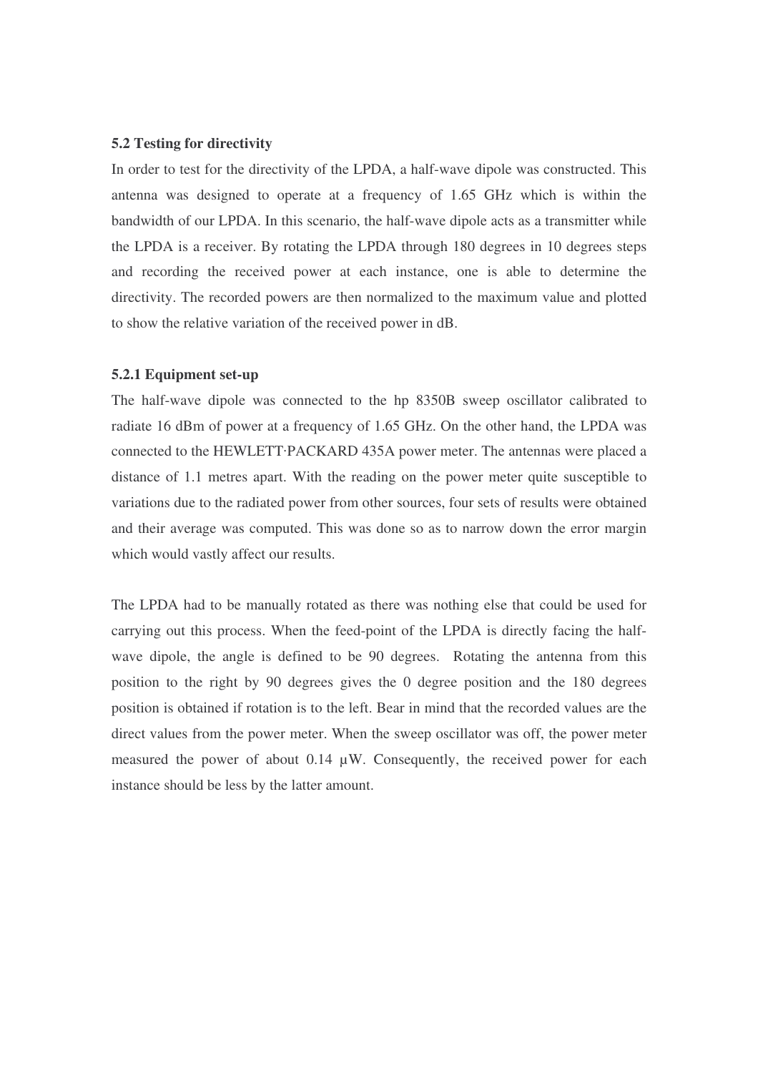# **5.2 Testing for directivity**

In order to test for the directivity of the LPDA, a half-wave dipole was constructed. This antenna was designed to operate at a frequency of 1.65 GHz which is within the bandwidth of our LPDA. In this scenario, the half-wave dipole acts as a transmitter while the LPDA is a receiver. By rotating the LPDA through 180 degrees in 10 degrees steps and recording the received power at each instance, one is able to determine the directivity. The recorded powers are then normalized to the maximum value and plotted to show the relative variation of the received power in dB.

#### **5.2.1 Equipment set-up**

The half-wave dipole was connected to the hp 8350B sweep oscillator calibrated to radiate 16 dBm of power at a frequency of 1.65 GHz. On the other hand, the LPDA was connected to the HEWLETT PACKARD 435A power meter. The antennas were placed a distance of 1.1 metres apart. With the reading on the power meter quite susceptible to variations due to the radiated power from other sources, four sets of results were obtained and their average was computed. This was done so as to narrow down the error margin which would vastly affect our results.

The LPDA had to be manually rotated as there was nothing else that could be used for carrying out this process. When the feed-point of the LPDA is directly facing the halfwave dipole, the angle is defined to be 90 degrees. Rotating the antenna from this position to the right by 90 degrees gives the 0 degree position and the 180 degrees position is obtained if rotation is to the left. Bear in mind that the recorded values are the direct values from the power meter. When the sweep oscillator was off, the power meter measured the power of about 0.14 µW. Consequently, the received power for each instance should be less by the latter amount.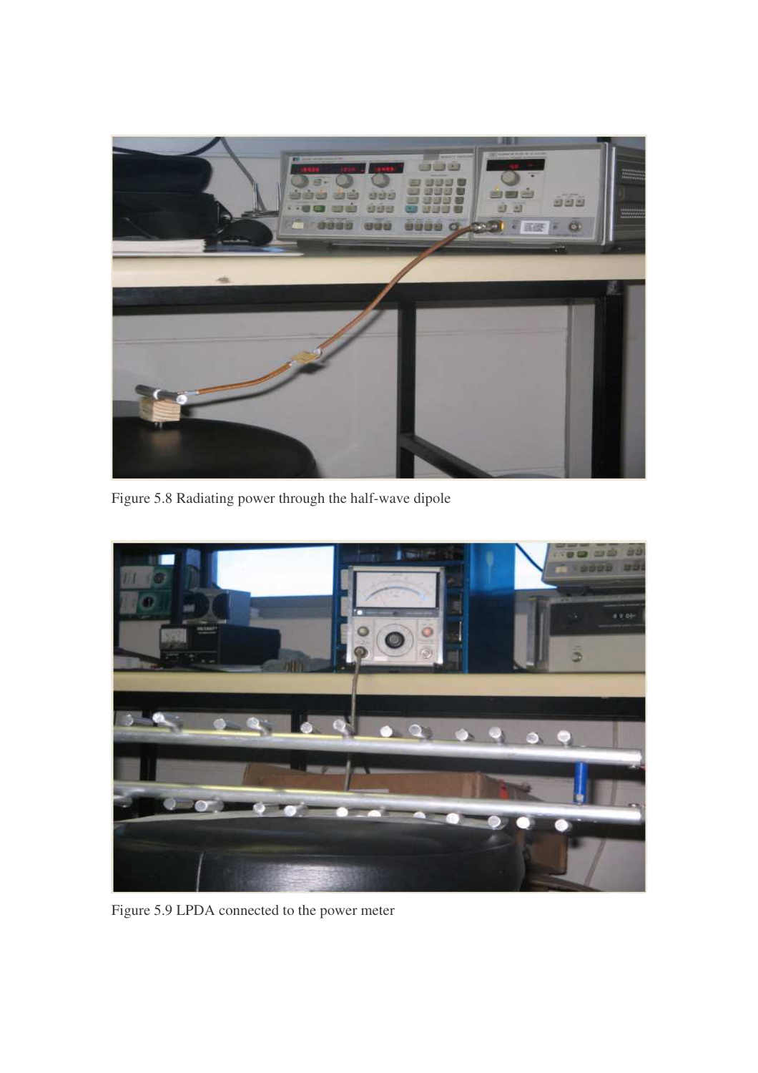

Figure 5.8 Radiating power through the half-wave dipole



Figure 5.9 LPDA connected to the power meter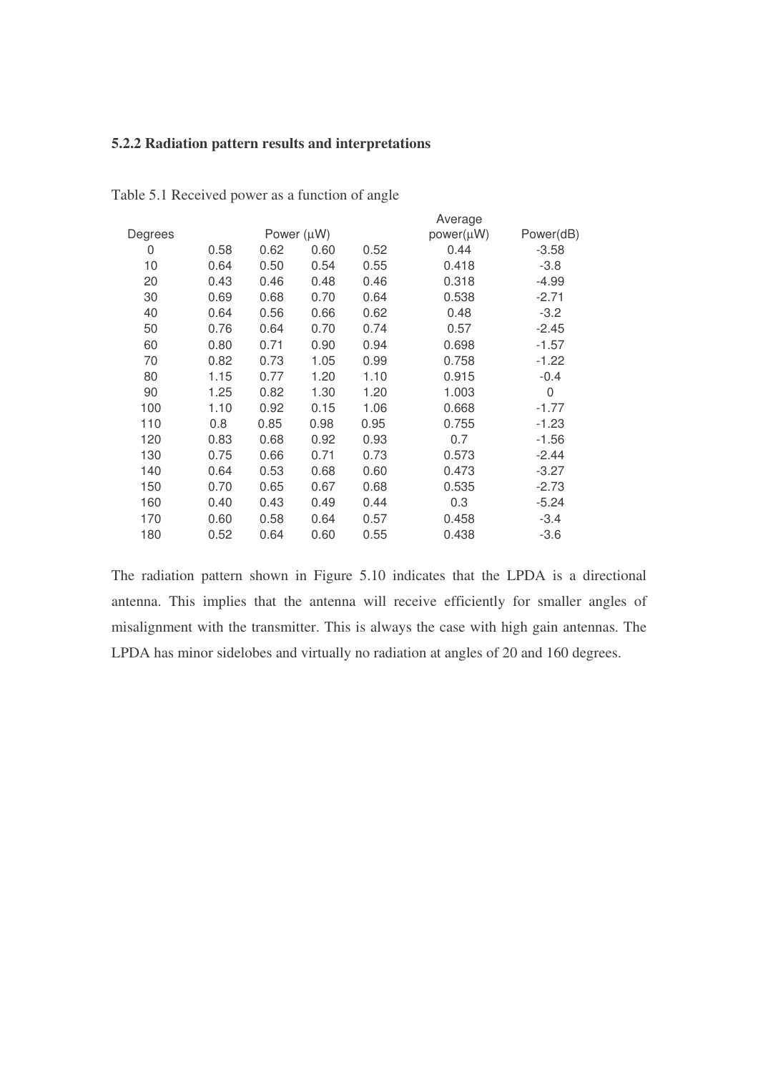# **5.2.2 Radiation pattern results and interpretations**

|         |      |      |                 |      | Average   |           |
|---------|------|------|-----------------|------|-----------|-----------|
| Degrees |      |      | Power $(\mu W)$ |      | power(µW) | Power(dB) |
| 0       | 0.58 | 0.62 | 0.60            | 0.52 | 0.44      | $-3.58$   |
| 10      | 0.64 | 0.50 | 0.54            | 0.55 | 0.418     | $-3.8$    |
| 20      | 0.43 | 0.46 | 0.48            | 0.46 | 0.318     | $-4.99$   |
| 30      | 0.69 | 0.68 | 0.70            | 0.64 | 0.538     | $-2.71$   |
| 40      | 0.64 | 0.56 | 0.66            | 0.62 | 0.48      | $-3.2$    |
| 50      | 0.76 | 0.64 | 0.70            | 0.74 | 0.57      | $-2.45$   |
| 60      | 0.80 | 0.71 | 0.90            | 0.94 | 0.698     | $-1.57$   |
| 70      | 0.82 | 0.73 | 1.05            | 0.99 | 0.758     | $-1.22$   |
| 80      | 1.15 | 0.77 | 1.20            | 1.10 | 0.915     | $-0.4$    |
| 90      | 1.25 | 0.82 | 1.30            | 1.20 | 1.003     | 0         |
| 100     | 1.10 | 0.92 | 0.15            | 1.06 | 0.668     | $-1.77$   |
| 110     | 0.8  | 0.85 | 0.98            | 0.95 | 0.755     | $-1.23$   |
| 120     | 0.83 | 0.68 | 0.92            | 0.93 | 0.7       | $-1.56$   |
| 130     | 0.75 | 0.66 | 0.71            | 0.73 | 0.573     | $-2.44$   |
| 140     | 0.64 | 0.53 | 0.68            | 0.60 | 0.473     | $-3.27$   |
| 150     | 0.70 | 0.65 | 0.67            | 0.68 | 0.535     | $-2.73$   |
| 160     | 0.40 | 0.43 | 0.49            | 0.44 | 0.3       | $-5.24$   |
| 170     | 0.60 | 0.58 | 0.64            | 0.57 | 0.458     | $-3.4$    |
| 180     | 0.52 | 0.64 | 0.60            | 0.55 | 0.438     | $-3.6$    |
|         |      |      |                 |      |           |           |

Table 5.1 Received power as a function of angle

The radiation pattern shown in Figure 5.10 indicates that the LPDA is a directional antenna. This implies that the antenna will receive efficiently for smaller angles of misalignment with the transmitter. This is always the case with high gain antennas. The LPDA has minor sidelobes and virtually no radiation at angles of 20 and 160 degrees.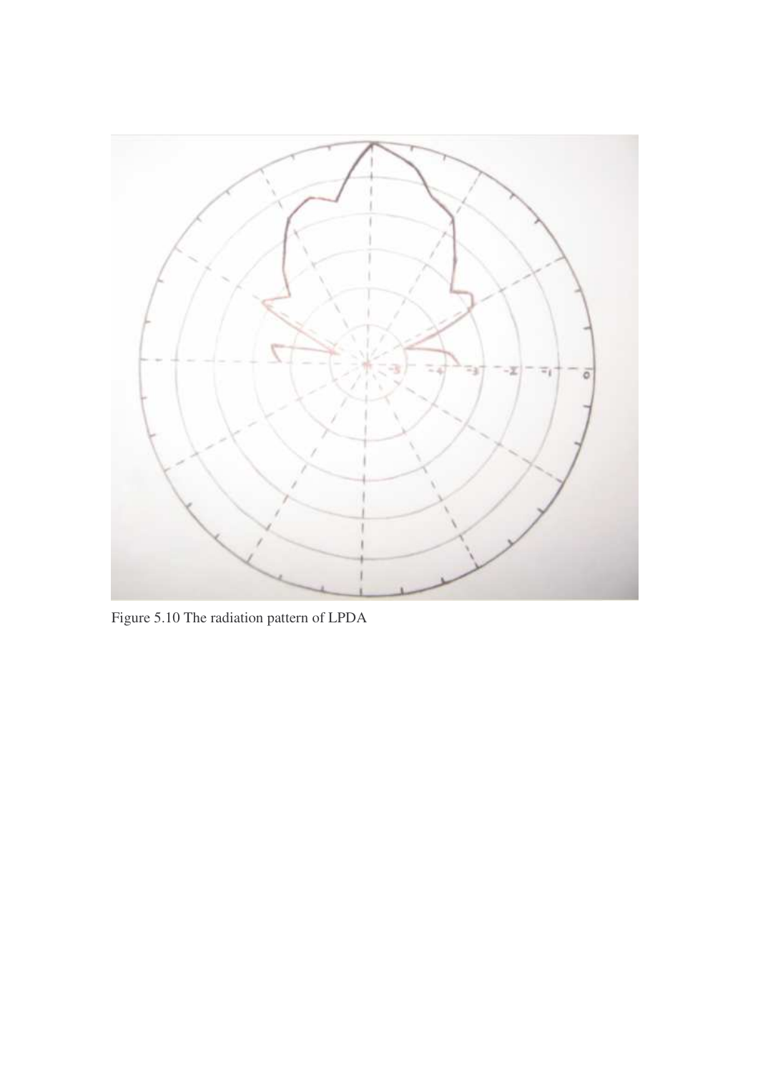

Figure 5.10 The radiation pattern of LPDA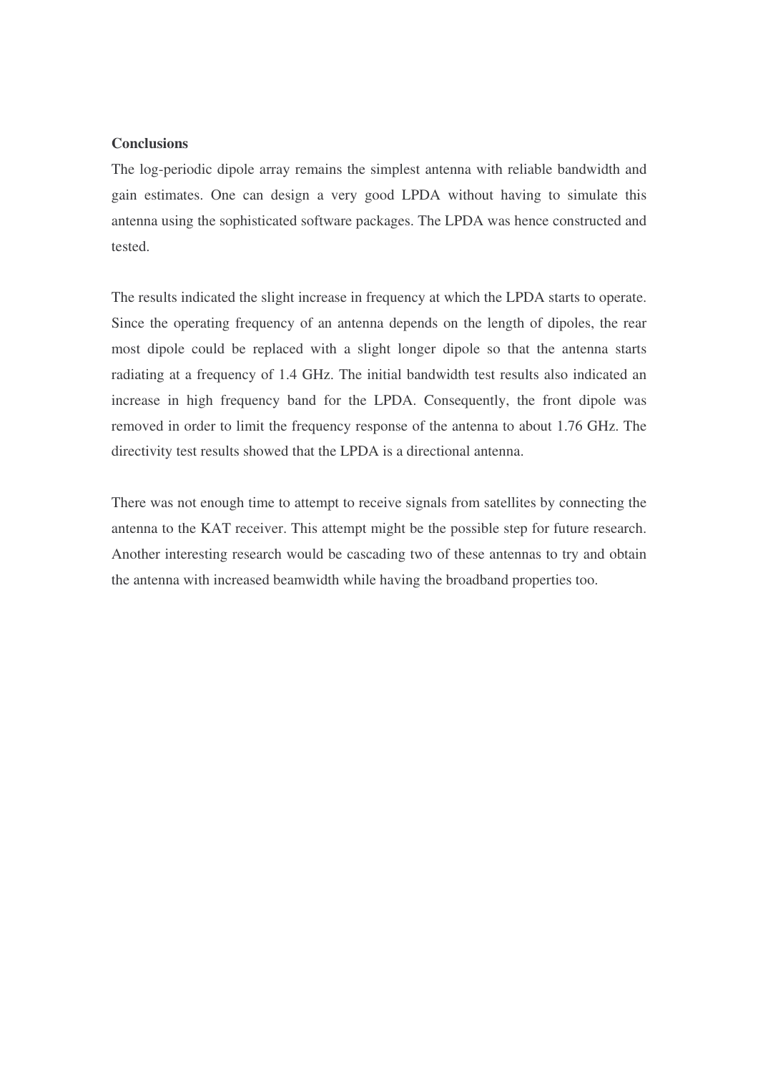# **Conclusions**

The log-periodic dipole array remains the simplest antenna with reliable bandwidth and gain estimates. One can design a very good LPDA without having to simulate this antenna using the sophisticated software packages. The LPDA was hence constructed and tested.

The results indicated the slight increase in frequency at which the LPDA starts to operate. Since the operating frequency of an antenna depends on the length of dipoles, the rear most dipole could be replaced with a slight longer dipole so that the antenna starts radiating at a frequency of 1.4 GHz. The initial bandwidth test results also indicated an increase in high frequency band for the LPDA. Consequently, the front dipole was removed in order to limit the frequency response of the antenna to about 1.76 GHz. The directivity test results showed that the LPDA is a directional antenna.

There was not enough time to attempt to receive signals from satellites by connecting the antenna to the KAT receiver. This attempt might be the possible step for future research. Another interesting research would be cascading two of these antennas to try and obtain the antenna with increased beamwidth while having the broadband properties too.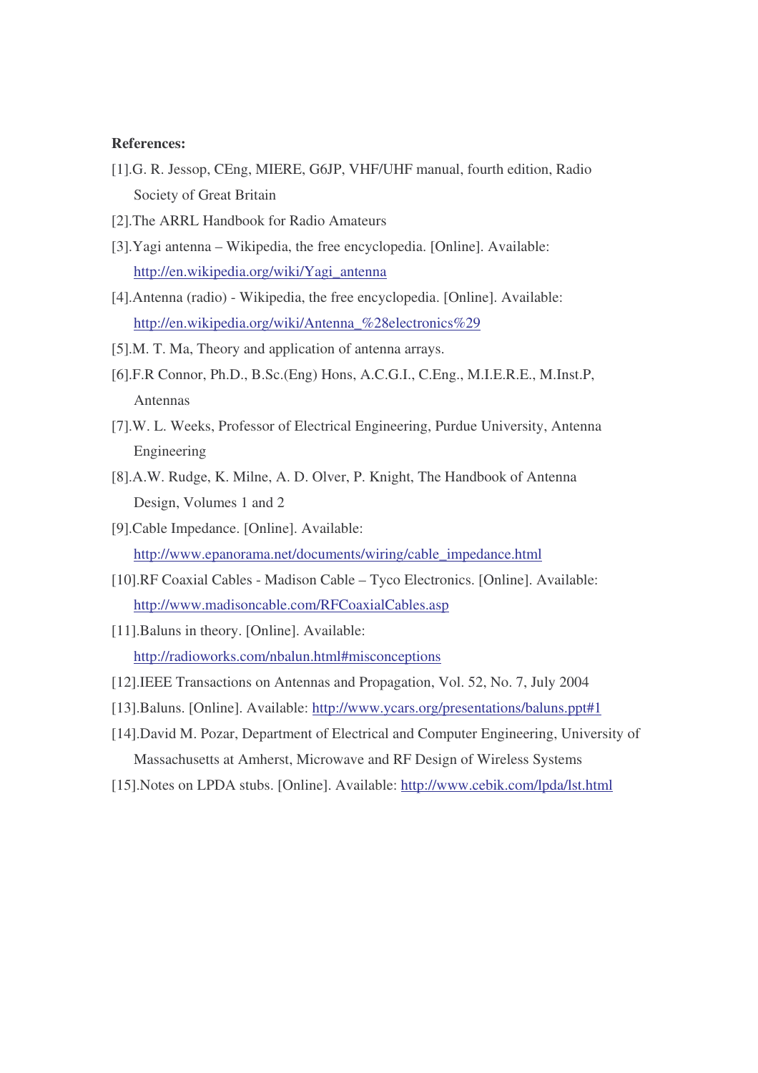# **References:**

- [1].G. R. Jessop, CEng, MIERE, G6JP, VHF/UHF manual, fourth edition, Radio Society of Great Britain
- [2].The ARRL Handbook for Radio Amateurs
- [3].Yagi antenna Wikipedia, the free encyclopedia. [Online]. Available: http://en.wikipedia.org/wiki/Yagi\_antenna
- [4].Antenna (radio) Wikipedia, the free encyclopedia. [Online]. Available: http://en.wikipedia.org/wiki/Antenna\_%28electronics%29
- [5].M. T. Ma, Theory and application of antenna arrays.
- [6].F.R Connor, Ph.D., B.Sc.(Eng) Hons, A.C.G.I., C.Eng., M.I.E.R.E., M.Inst.P, Antennas
- [7].W. L. Weeks, Professor of Electrical Engineering, Purdue University, Antenna Engineering
- [8].A.W. Rudge, K. Milne, A. D. Olver, P. Knight, The Handbook of Antenna Design, Volumes 1 and 2
- [9].Cable Impedance. [Online]. Available: http://www.epanorama.net/documents/wiring/cable\_impedance.html
- [10].RF Coaxial Cables Madison Cable Tyco Electronics. [Online]. Available: http://www.madisoncable.com/RFCoaxialCables.asp
- [11].Baluns in theory. [Online]. Available: http://radioworks.com/nbalun.html#misconceptions
- [12].IEEE Transactions on Antennas and Propagation, Vol. 52, No. 7, July 2004
- [13].Baluns. [Online]. Available: http://www.ycars.org/presentations/baluns.ppt#1
- [14].David M. Pozar, Department of Electrical and Computer Engineering, University of Massachusetts at Amherst, Microwave and RF Design of Wireless Systems
- [15].Notes on LPDA stubs. [Online]. Available: http://www.cebik.com/lpda/lst.html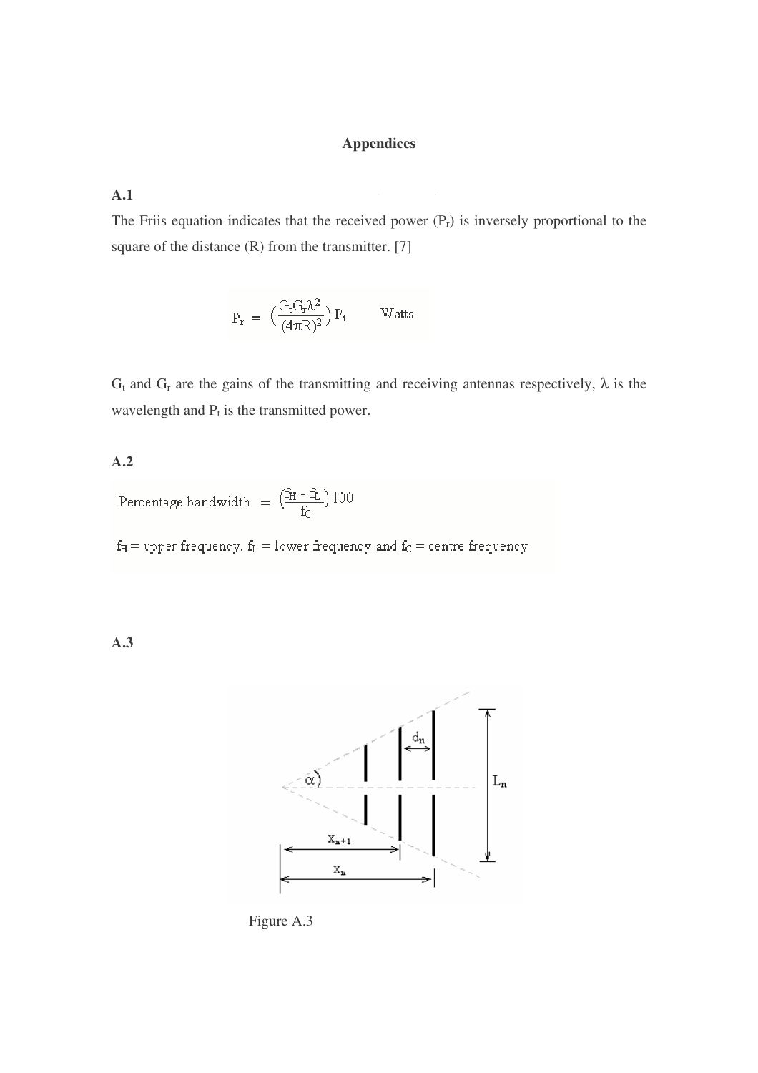# **Appendices**

# **A.1**

The Friis equation indicates that the received power  $(P_r)$  is inversely proportional to the square of the distance  $(R)$  from the transmitter. [7]

$$
P_r\ =\ \Big(\frac{G_tG_r\lambda^2}{(4\pi R)^2}\Big)\,P_t\qquad \ \, \text{Watts}
$$

 $G_t$  and  $G_r$  are the gains of the transmitting and receiving antennas respectively,  $\lambda$  is the wavelength and  $P_t$  is the transmitted power.

# **A.2**

Percentage bandwidth =  $\left(\frac{f_H - f_L}{f_C}\right)100$ 

 $\mathbf{f}_\mathrm{H} =$  upper frequency,  $\mathbf{f}_\mathrm{L} =$  lower frequency and  $\mathbf{f}_\mathrm{C} =$  centre frequency

**A.3**



Figure A.3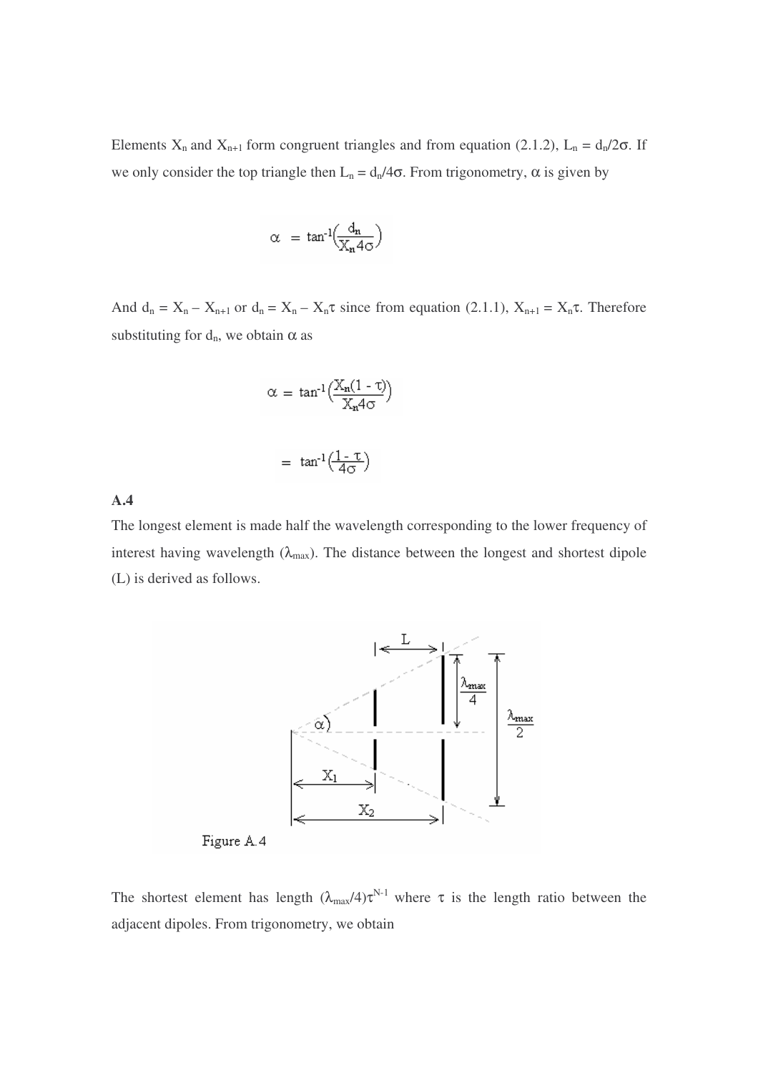Elements  $X_n$  and  $X_{n+1}$  form congruent triangles and from equation (2.1.2),  $L_n = d_n/2\sigma$ . If we only consider the top triangle then  $L_n = d_n/4\sigma$ . From trigonometry,  $\alpha$  is given by

$$
\alpha = \tan^{-1}\left(\frac{d_n}{X_n 4\sigma}\right)
$$

And  $d_n = X_n - X_{n+1}$  or  $d_n = X_n - X_n \tau$  since from equation (2.1.1),  $X_{n+1} = X_n \tau$ . Therefore substituting for  $d_n$ , we obtain  $\alpha$  as

$$
\alpha = \tan^{-1}\left(\frac{X_n(1-\tau)}{X_n4\sigma}\right)
$$

$$
= \tan^{-1}\left(\frac{1-\tau}{4\sigma}\right)
$$

# **A.4**

The longest element is made half the wavelength corresponding to the lower frequency of interest having wavelength  $(\lambda_{\text{max}})$ . The distance between the longest and shortest dipole (L) is derived as follows.



The shortest element has length  $(\lambda_{max}/4)\tau^{N-1}$  where  $\tau$  is the length ratio between the adjacent dipoles. From trigonometry, we obtain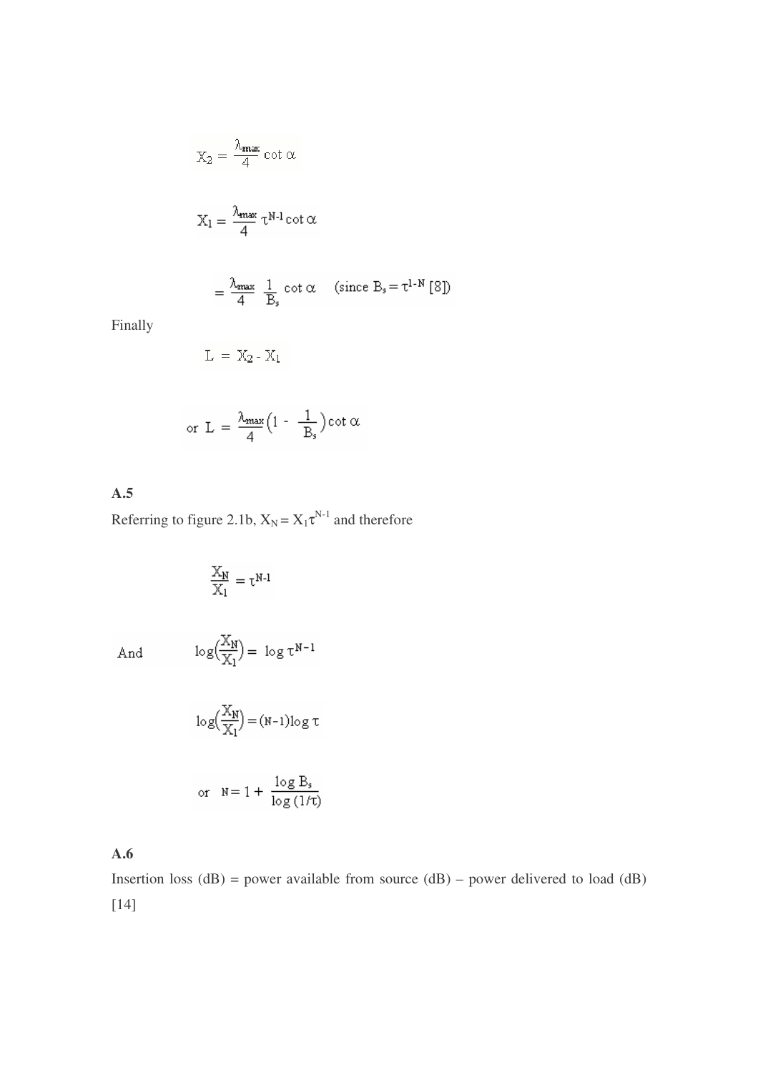$$
X_2 = \frac{\lambda_{\text{max}}}{4} \cot \alpha
$$

$$
X_1 = \frac{\lambda_{\max}}{4} \tau^{N-1} \cot \alpha
$$

$$
= \frac{\lambda_{\text{max}}}{4} \ \frac{1}{B_s} \ \text{cot} \alpha \quad \text{(since } B_s = \tau^{1-N} \ [8] \text{)}
$$

Finally

$$
\mathrm{L}\,=\,\mathrm{X}_2\,\text{-}\,\mathrm{X}_1
$$

$$
\text{or } L = \frac{\lambda_{\max}}{4} \Big( 1 - \frac{1}{B_s} \Big) \cot \alpha
$$

**A.5**

Referring to figure 2.1b,  $X_N = X_1 \tau^{N-1}$  and therefore

$$
\frac{\mathbb{X}_N}{\mathbb{X}_1} = \tau^{N\text{-}1}
$$

And

$$
-\log\Bigl(\frac{X_N}{X_1}\Bigr)=\ \log\tau^{N-1}
$$

$$
\log\left(\frac{X_N}{X_1}\right) = (N-1)\log \tau
$$

or 
$$
N=1+\frac{\log B_s}{\log(1/\tau)}
$$

**A.6**

Insertion loss  $(dB)$  = power available from source  $(dB)$  – power delivered to load  $(dB)$ [14]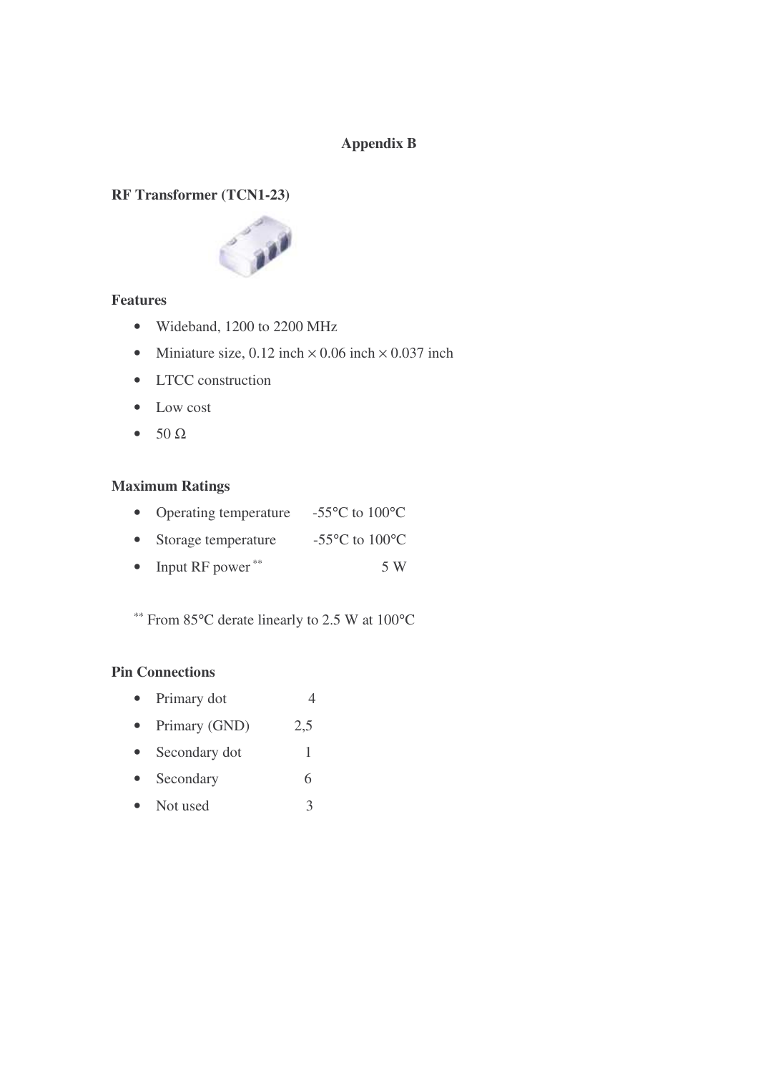# **Appendix B**

# **RF Transformer (TCN1-23)**



# **Features**

- Wideband, 1200 to 2200 MHz
- Miniature size, 0.12 inch  $\times$  0.06 inch  $\times$  0.037 inch
- LTCC construction
- Low cost
- $\bullet$  50  $\Omega$

# **Maximum Ratings**

|  | Operating temperature | -55 $\rm{^{\circ}C}$ to 100 $\rm{^{\circ}C}$ |
|--|-----------------------|----------------------------------------------|
|--|-----------------------|----------------------------------------------|

- Storage temperature -55°C to 100°C
- Input RF power ∗∗ 5 W

∗∗ From 85°C derate linearly to 2.5 W at 100°C

# **Pin Connections**

- Primary dot 4
- Primary (GND) 2,5
- Secondary dot 1
- Secondary 6
- Not used 3